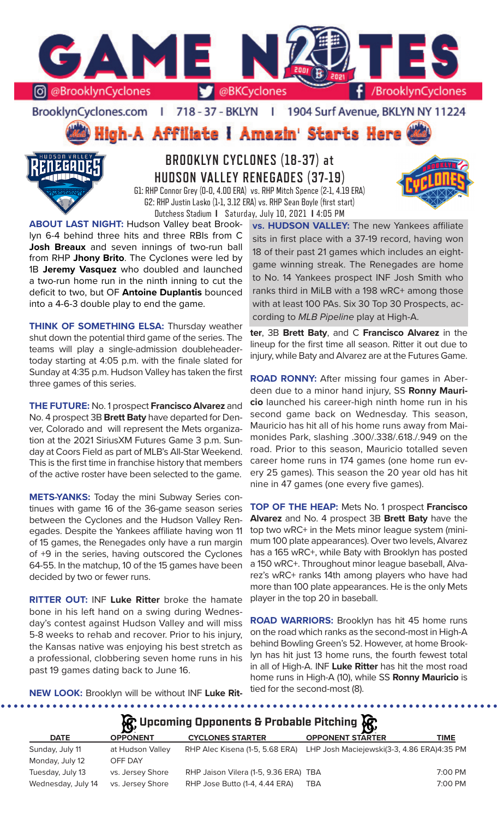

BrooklynCyclones.com | 718 - 37 - BKLYN  $\mathbf{r}$ 1904 Surf Avenue, BKLYN NY 11224

ligh-A Affiliate I Amazin' Starts Here



## **BROOKLYN CYCLONES (18-37) at HUDSON VALLEY RENEGADES (37-19)** G1: RHP Connor Grey (0-0, 4.00 ERA) vs. RHP Mitch Spence (2-1, 4.19 ERA) G2: RHP Justin Lasko (1-1, 3.12 ERA) vs. RHP Sean Boyle (first start)

Dutchess Stadium **I** Saturday, July 10, 2021 **I** 4:05 PM



**ABOUT LAST NIGHT:** Hudson Valley beat Brooklyn 6-4 behind three hits and three RBIs from C **Josh Breaux** and seven innings of two-run ball from RHP **Jhony Brito**. The Cyclones were led by 1B **Jeremy Vasquez** who doubled and launched a two-run home run in the ninth inning to cut the deficit to two, but OF **Antoine Duplantis** bounced into a 4-6-3 double play to end the game.

**THINK OF SOMETHING ELSA: Thursday weather** shut down the potential third game of the series. The teams will play a single-admission doubleheadertoday starting at 4:05 p.m. with the finale slated for Sunday at 4:35 p.m. Hudson Valley has taken the first three games of this series.

**THE FUTURE:** No. 1 prospect **Francisco Alvarez** and No. 4 prospect 3B **Brett Baty** have departed for Denver, Colorado and will represent the Mets organization at the 2021 SiriusXM Futures Game 3 p.m. Sunday at Coors Field as part of MLB's All-Star Weekend. This is the first time in franchise history that members of the active roster have been selected to the game.

**METS-YANKS:** Today the mini Subway Series continues with game 16 of the 36-game season series between the Cyclones and the Hudson Valley Renegades. Despite the Yankees affiliate having won 11 of 15 games, the Renegades only have a run margin of +9 in the series, having outscored the Cyclones 64-55. In the matchup, 10 of the 15 games have been decided by two or fewer runs.

**RITTER OUT:** INF **Luke Ritter** broke the hamate bone in his left hand on a swing during Wednesday's contest against Hudson Valley and will miss 5-8 weeks to rehab and recover. Prior to his injury, the Kansas native was enjoying his best stretch as a professional, clobbering seven home runs in his past 19 games dating back to June 16.

**vs. HUDSON VALLEY:** The new Yankees affiliate sits in first place with a 37-19 record, having won 18 of their past 21 games which includes an eightgame winning streak. The Renegades are home to No. 14 Yankees prospect INF Josh Smith who ranks third in MiLB with a 198 wRC+ among those with at least 100 PAs. Six 30 Top 30 Prospects, according to *MLB Pipeline* play at High-A.

**ter**, 3B **Brett Baty**, and C **Francisco Alvarez** in the lineup for the first time all season. Ritter it out due to injury, while Baty and Alvarez are at the Futures Game.

**ROAD RONNY:** After missing four games in Aberdeen due to a minor hand injury, SS **Ronny Mauricio** launched his career-high ninth home run in his second game back on Wednesday. This season, Mauricio has hit all of his home runs away from Maimonides Park, slashing .300/.338/.618./.949 on the road. Prior to this season, Mauricio totalled seven career home runs in 174 games (one home run every 25 games). This season the 20 year old has hit nine in 47 games (one every five games).

**TOP OF THE HEAP:** Mets No. 1 prospect **Francisco Alvarez** and No. 4 prospect 3B **Brett Baty** have the top two wRC+ in the Mets minor league system (minimum 100 plate appearances). Over two levels, Alvarez has a 165 wRC+, while Baty with Brooklyn has posted a 150 wRC+. Throughout minor league baseball, Alvarez's wRC+ ranks 14th among players who have had more than 100 plate appearances. He is the only Mets player in the top 20 in baseball.

**ROAD WARRIORS:** Brooklyn has hit 45 home runs on the road which ranks as the second-most in High-A behind Bowling Green's 52. However, at home Brooklyn has hit just 13 home runs, the fourth fewest total in all of High-A. INF **Luke Ritter** has hit the most road home runs in High-A (10), while SS **Ronny Mauricio** is tied for the second-most (8).

**NEW LOOK:** Brooklyn will be without INF **Luke Rit-**

**Upcoming Opponents & Probable Pitching**

. . . . . . . . . . . . . .

|                    | $\mathbf{v}$     |                                       | <b>B</b>                                   |             |
|--------------------|------------------|---------------------------------------|--------------------------------------------|-------------|
| <b>DATE</b>        | <b>OPPONENT</b>  | <b>CYCLONES STARTER</b>               | <b>OPPONENT STARTER</b>                    | <b>TIME</b> |
| Sunday, July 11    | at Hudson Valley | RHP Alec Kisena (1-5, 5.68 ERA)       | LHP Josh Maciejewski(3-3, 4.86 ERA)4:35 PM |             |
| Monday, July 12    | OFF DAY          |                                       |                                            |             |
| Tuesday, July 13   | vs. Jersey Shore | RHP Jaison Vilera (1-5, 9.36 ERA) TBA |                                            | 7:00 PM     |
| Wednesday, July 14 | vs. Jersey Shore | RHP Jose Butto (1-4, 4.44 ERA)        | TBA                                        | 7:00 PM     |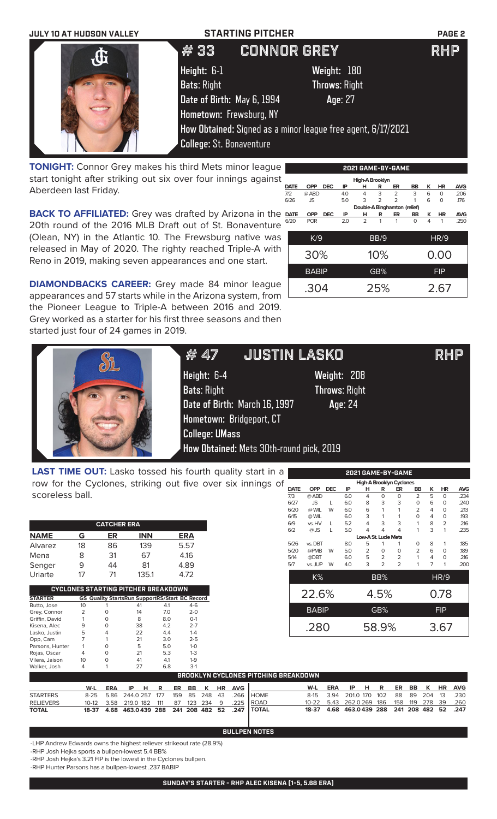| <b>JULY 10 AT HUDSON VALLEY</b> | <b>STARTING PITCHER</b>                                      |                      | <b>PAGE 2</b> |  |  |  |
|---------------------------------|--------------------------------------------------------------|----------------------|---------------|--|--|--|
| $\mathbf{d}$                    | #33                                                          | <b>CONNOR GREY</b>   | <b>RHP</b>    |  |  |  |
|                                 | Height: 6-1                                                  | Weight: 180          |               |  |  |  |
|                                 | <b>Bats: Right</b>                                           | <b>Throws: Right</b> |               |  |  |  |
|                                 | Date of Birth: May 6, 1994                                   | Age: 27              |               |  |  |  |
|                                 | Hometown: Frewsburg, NY                                      |                      |               |  |  |  |
|                                 | How Obtained: Signed as a minor league free agent, 6/17/2021 |                      |               |  |  |  |
|                                 | <b>College: St. Bonaventure</b>                              |                      |               |  |  |  |

**TONIGHT:** Connor Grey makes his third Mets minor league start tonight after striking out six over four innings against Aberdeen last Friday.

**BACK TO AFFILIATED:** Grey was drafted by Arizona in the 20th round of the 2016 MLB Draft out of St. Bonaventure (Olean, NY) in the Atlantic 10. The Frewsburg native was released in May of 2020. The righty reached Triple-A with Reno in 2019, making seven appearances and one start.

|     | 2021 GAME-BY-GAME |              |            |     |                |                |                              |          |            |             |            |  |
|-----|-------------------|--------------|------------|-----|----------------|----------------|------------------------------|----------|------------|-------------|------------|--|
|     | High-A Brooklyn   |              |            |     |                |                |                              |          |            |             |            |  |
|     | <b>DATE</b>       | <b>OPP</b>   | <b>DEC</b> | IP  | н              | R              | ER                           | BB       | ĸ          | <b>HR</b>   | <b>AVG</b> |  |
| 7/2 |                   | @ ABD        |            | 4.0 | 4              | 3              | $\overline{2}$               | 3        | 6          | $\Omega$    | .206       |  |
|     | 6/26              | JS.          |            | 5.0 | 3              | $\overline{2}$ | $\overline{2}$               | 1        | 6          | $\Omega$    | .176       |  |
|     |                   |              |            |     |                |                | Double-A Binghamton (relief) |          |            |             |            |  |
|     | <b>DATE</b>       | <b>OPP</b>   | <b>DEC</b> | IP  | н              | R              | ER                           | BB       | κ          | ΗR          | <b>AVG</b> |  |
|     | 6/20              | <b>POR</b>   |            | 2.0 | $\overline{2}$ | 1              | 1                            | $\Omega$ | 4          | 1           | .250       |  |
|     |                   |              |            |     |                |                |                              |          |            |             |            |  |
|     |                   | K/9          |            |     |                | BB/9           |                              |          |            | <b>HR/9</b> |            |  |
|     |                   |              |            |     |                |                |                              |          |            |             |            |  |
|     |                   | 30%          |            |     |                | 10%            |                              |          | 0.00       |             |            |  |
|     |                   |              |            |     |                |                |                              |          |            |             |            |  |
|     |                   | <b>BABIP</b> |            |     |                | GB%            |                              |          | <b>FIP</b> |             |            |  |
|     |                   |              |            |     |                |                |                              |          |            |             |            |  |
|     |                   |              |            |     |                |                |                              |          |            |             |            |  |
|     |                   | .304         |            |     |                | 25%            |                              |          | 2.67       |             |            |  |
|     |                   |              |            |     |                |                |                              |          |            |             |            |  |

**DIAMONDBACKS CAREER:** Grey made 84 minor league appearances and 57 starts while in the Arizona system, from the Pioneer League to Triple-A between 2016 and 2019. Grey worked as a starter for his first three seasons and then started just four of 24 games in 2019.

|                                                                  | # 47                                                                                                                    | <b>JUSTIN LASKO</b>                                                                        | <b>RHP</b> |
|------------------------------------------------------------------|-------------------------------------------------------------------------------------------------------------------------|--------------------------------------------------------------------------------------------|------------|
|                                                                  | Height: 6-4<br><b>Bats: Right</b><br>Date of Birth: March 16, 1997<br>Hometown: Bridgeport, CT<br><b>College: UMass</b> | Weight: 208<br><b>Throws: Right</b><br>Age: 24<br>How Obtained: Mets 30th-round pick, 2019 |            |
| <b>LAST TIME OUT:</b> Lasko tossed his fourth quality start in a |                                                                                                                         | 2021 GAME-BY-GAME                                                                          |            |

**LAST TIME OUT:** Lasko tossed his fourth quality start in a row for the Cyclones, striking out five over six innings of scoreless ball.

| <b>CATCHER ERA</b> |    |    |            |            |  |  |  |  |  |
|--------------------|----|----|------------|------------|--|--|--|--|--|
| <b>NAME</b>        | G  | ER | <b>INN</b> | <b>ERA</b> |  |  |  |  |  |
| Alvarez            | 18 | 86 | 139        | 5.57       |  |  |  |  |  |
| Mena               | 8  | 31 | 67         | 4.16       |  |  |  |  |  |
| Senger             | 9  | 44 | 81         | 4.89       |  |  |  |  |  |
| Uriarte            | 17 | 71 | 135.1      | 4.72       |  |  |  |  |  |

| CYCLONES STARTING PITCHER BREAKDOWN |    |   |                                                       |     |         |  |  |  |  |
|-------------------------------------|----|---|-------------------------------------------------------|-----|---------|--|--|--|--|
| <b>STARTER</b>                      |    |   | <b>GS Quality StartsRun SupportRS/Start BC Record</b> |     |         |  |  |  |  |
| Butto, Jose                         | 10 |   | 41                                                    | 4.1 | $4-6$   |  |  |  |  |
| Grey, Connor                        | 2  |   | 14                                                    | 7.0 | $2 - 0$ |  |  |  |  |
| Griffin, David                      |    |   | 8                                                     | 8.0 | $O-1$   |  |  |  |  |
| Kisena, Alec                        | 9  |   | 38                                                    | 4.2 | $2 - 7$ |  |  |  |  |
| Lasko, Justin                       | 5  |   | 22                                                    | 4.4 | $1 - 4$ |  |  |  |  |
| Opp, Cam                            |    |   | 21                                                    | 3.0 | $2 - 5$ |  |  |  |  |
| Parsons, Hunter                     |    |   | 5                                                     | 5.0 | $1 - 0$ |  |  |  |  |
| Rojas, Oscar                        | 4  | O | 21                                                    | 5.3 | $1-3$   |  |  |  |  |
| Vilera, Jaison                      | 10 |   | 41                                                    | 4.1 | $1-9$   |  |  |  |  |
| Walker, Josh                        | 4  |   | 27                                                    | 6.8 | $3-1$   |  |  |  |  |

| High-A Brooklyn Cyclones |            |                                                              |                |                |                |                                       |   |                |                                    |  |  |
|--------------------------|------------|--------------------------------------------------------------|----------------|----------------|----------------|---------------------------------------|---|----------------|------------------------------------|--|--|
| <b>OPP</b>               | <b>DEC</b> | IP                                                           | н              | R              | ER             | BB                                    | ĸ | HR             | <b>AVG</b>                         |  |  |
| @ ABD                    |            | 6.0                                                          | $\overline{4}$ | $\Omega$       | $\Omega$       | $\overline{2}$                        | 5 | 0              | .234                               |  |  |
| JS.                      | L          | 6.0                                                          | 8              | 3              | 3              | 0                                     | 6 | 0              | .240                               |  |  |
| @ WIL                    | W          | 6.0                                                          | 6              | 1              | 1              | $\overline{2}$                        | 4 | $\Omega$       | .213                               |  |  |
| @ WIL                    |            | 6.0                                                          | 3              | 1              | 1              | 0                                     | 4 | 0              | .193                               |  |  |
| vs. HV                   | L.         | 5.2                                                          | 4              | 3              | 3              | 1                                     | 8 | $\overline{2}$ | .216                               |  |  |
| $@$ JS                   | г          | 5.0                                                          | 4              | 4              | 4              | 1                                     | 3 | 1              | .235                               |  |  |
|                          |            |                                                              |                |                |                |                                       |   |                |                                    |  |  |
|                          |            | 8.0                                                          | 5              | 1              | 1              | 0                                     | 8 | 1              | .185                               |  |  |
| @PMB                     | W          | 5.0                                                          | 2              | O              | $\Omega$       | $\overline{2}$                        | 6 | $\Omega$       | .189                               |  |  |
| @DBT                     |            | 6.0                                                          | 5              | $\overline{2}$ | $\overline{2}$ | 1                                     | 4 | 0              | .216                               |  |  |
|                          | W          | 4.0                                                          | 3              | $\mathfrak{D}$ | $\overline{2}$ | 1                                     | 7 | 1              | .200                               |  |  |
|                          |            |                                                              |                |                |                |                                       |   |                |                                    |  |  |
|                          |            |                                                              |                |                |                |                                       |   |                |                                    |  |  |
|                          |            |                                                              |                |                |                |                                       |   |                |                                    |  |  |
|                          |            |                                                              |                |                |                |                                       |   |                |                                    |  |  |
|                          |            |                                                              |                |                |                |                                       |   |                |                                    |  |  |
|                          |            |                                                              |                |                |                |                                       |   |                |                                    |  |  |
|                          |            |                                                              |                |                |                |                                       |   |                |                                    |  |  |
|                          |            |                                                              |                |                |                |                                       |   |                |                                    |  |  |
|                          |            | vs. DBT<br>vs. JUP<br>$K\%$<br>22.6%<br><b>BABIP</b><br>.280 |                |                | BB%<br>GB%     | Low-A St. Lucie Mets<br>4.5%<br>58.9% |   |                | HR/9<br>0.78<br><b>FIP</b><br>3.67 |  |  |

| <b>BROOKLYN CYCLONES PITCHING BREAKDOWN</b> |     |  |  |  |  |  |  |  |  |                        |                                                                     |                                              |     |                                           |  |  |  |  |
|---------------------------------------------|-----|--|--|--|--|--|--|--|--|------------------------|---------------------------------------------------------------------|----------------------------------------------|-----|-------------------------------------------|--|--|--|--|
|                                             | W-L |  |  |  |  |  |  |  |  | ERA IPHR ER BBK HRAVGI |                                                                     | W-L                                          | ERA | IP H R ER BB K HR AVG                     |  |  |  |  |
| <b>STARTERS</b>                             |     |  |  |  |  |  |  |  |  |                        | 8-25 5.86 244.0 257 177 159 85 248 43 .266 HOME                     |                                              |     | 8-15 3.94 201.0 170 102 88 89 204 13 .230 |  |  |  |  |
| <b>RELIEVERS</b>                            |     |  |  |  |  |  |  |  |  |                        | 10-12  3.58  219.0  182  111  87  123  234  9  225  ROAD            | 10-22 5.43 262.0 269 186 158 119 278 39 .260 |     |                                           |  |  |  |  |
| <b>TOTAL</b>                                |     |  |  |  |  |  |  |  |  |                        | 18-37   4.68   463.0439   288   241   208   482   52   .247   TOTAL | 18-37 4.68 463.0439 288 241 208 482 52 .247  |     |                                           |  |  |  |  |

**BULLPEN NOTES**

-LHP Andrew Edwards owns the highest reliever strikeout rate (28.9%)

-RHP Josh Hejka sports a bullpen-lowest 5.4 BB%

-RHP Josh Hejka's 3.21 FIP is the lowest in the Cyclones bullpen.

-RHP Hunter Parsons has a bullpen-lowest .237 BABIP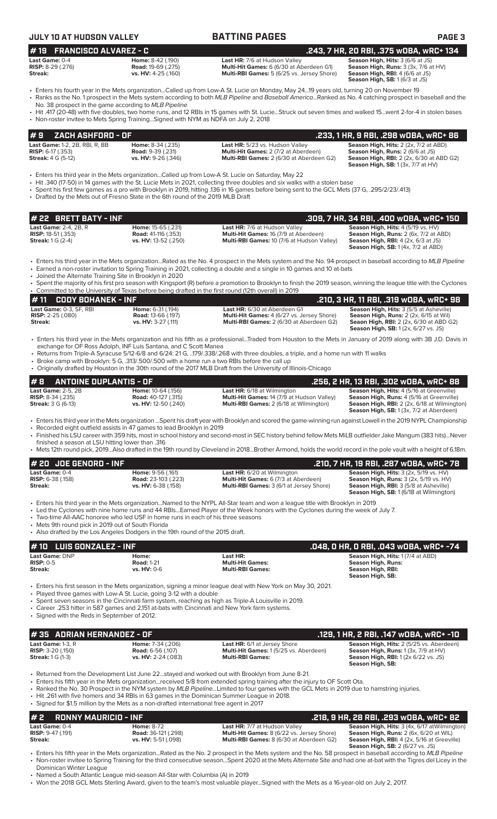| <b>JULY 10 AT HUDSON VALLEY</b>                                                           |                                                                                          | <b>BATTING PAGES</b>                                                                                                                                                                                                                                                                                                                                                                                                                                                               | PAGE <sub>3</sub>                                                                                                                                                                                                             |
|-------------------------------------------------------------------------------------------|------------------------------------------------------------------------------------------|------------------------------------------------------------------------------------------------------------------------------------------------------------------------------------------------------------------------------------------------------------------------------------------------------------------------------------------------------------------------------------------------------------------------------------------------------------------------------------|-------------------------------------------------------------------------------------------------------------------------------------------------------------------------------------------------------------------------------|
| <b>FRANCISCO ALVAREZ - C</b><br>#19                                                       |                                                                                          |                                                                                                                                                                                                                                                                                                                                                                                                                                                                                    | .243, 7 HR, 20 RBI, .375 WOBA, WRC+ 134                                                                                                                                                                                       |
| Last Game: 0-4<br><b>RISP:</b> $8-29$ (.276)<br><b>Streak:</b>                            | Home: 8-42 (.190)<br><b>Road: 19-69 (.275)</b><br>vs. HV: 4-25 (.160)                    | Last HR: 7/6 at Hudson Valley<br>Multi-Hit Games: 6 (6/30 at Aberdeen G1)<br>Multi-RBI Games: 5 (6/25 vs. Jersey Shore)                                                                                                                                                                                                                                                                                                                                                            | Season High, Hits: 3 (6/6 at JS)<br>Season High, Runs: 3 (3x, 7/6 at HV)<br>Season High, RBI: 4 (6/6 at JS)<br>Season High, SB: 1 (6/3 at JS)                                                                                 |
| No. 38 prospect in the game according to MLB Pipeline                                     |                                                                                          | • Enters his fourth year in the Mets organizationCalled up from Low-A St. Lucie on Monday, May 2419 years old, turning 20 on November 19<br>• Ranks as the No. 1 prospect in the Mets system according to both MLB Pipeline and Baseball AmericaRanked as No. 4 catching prospect in baseball and the                                                                                                                                                                              |                                                                                                                                                                                                                               |
|                                                                                           | • Non-roster invitee to Mets Spring TrainingSigned with NYM as NDFA on July 2, 2018      | • Hit .417 (20-48) with five doubles, two home runs, and 12 RBIs in 15 games with St. LucieStruck out seven times and walked 15went 2-for-4 in stolen bases                                                                                                                                                                                                                                                                                                                        |                                                                                                                                                                                                                               |
| ZACH ASHFORD - OF<br>#9                                                                   |                                                                                          |                                                                                                                                                                                                                                                                                                                                                                                                                                                                                    | .233, 1 HR, 9 RBI, .298 wOBA, wRC+ 86                                                                                                                                                                                         |
| Last Game: 1-2, 2B, RBI, R, BB<br><b>RISP:</b> $6-17$ (.353)<br><b>Streak:</b> 4 G (5-12) | Home: 8-34 (.235)<br><b>Road: 9-39 (.231)</b><br>vs. HV: 9-26 (.346)                     | Last HR: 5/23 vs. Hudson Valley<br>Multi-Hit Games: 2 (7/2 at Aberdeen)<br>Multi-RBI Games: 2 (6/30 at Aberdeen G2)                                                                                                                                                                                                                                                                                                                                                                | Season High, Hits: 2 (2x, 7/2 at ABD)<br>Season High, Runs: 2 (6/6 at JS)<br>Season High, RBI: 2 (2x, 6/30 at ABD G2)<br><b>Season High, SB: 1 (3x, 7/7 at HV)</b>                                                            |
|                                                                                           | • Drafted by the Mets out of Fresno State in the 6th round of the 2019 MLB Draft         | Enters his third year in the Mets organizationCalled up from Low-A St. Lucie on Saturday, May 22<br>• Hit .340 (17-50) in 14 games with the St. Lucie Mets in 2021, collecting three doubles and six walks with a stolen base<br>• Spent his first few games as a pro with Brooklyn in 2019, hitting .136 in 16 games before being sent to the GCL Mets (37 G, .295/2/23/.413)                                                                                                     |                                                                                                                                                                                                                               |
| # 22 BRETT BATY - INF                                                                     |                                                                                          |                                                                                                                                                                                                                                                                                                                                                                                                                                                                                    | .309, 7 HR, 34 RBI, .400 WOBA, WRC+ 150                                                                                                                                                                                       |
| Last Game: 2-4, 2B, R<br><b>RISP: 18-51 (.353)</b><br><b>Streak:</b> 1 G (2-4)            | Home: 15-65 (.231)<br><b>Road: 41-116 (.353)</b><br>vs. HV: 13-52 (.250)                 | Last HR: 7/6 at Hudson Valley<br>Multi-Hit Games: 16 (7/9 at Aberdeen)<br>Multi-RBI Games: 10 (7/6 at Hudson Valley)                                                                                                                                                                                                                                                                                                                                                               | Season High, Hits: 4 (5/19 vs. HV)<br><b>Season High, Runs:</b> 2 (6x, 7/2 at ABD)<br><b>Season High, RBI:</b> $4$ (2x, $6/3$ at JS)<br>Season High, SB: 1 (4x, 7/2 at ABD)                                                   |
| • Joined the Alternate Training Site in Brooklyn in 2020                                  |                                                                                          | • Enters his third year in the Mets organizationRated as the No. 4 prospect in the Mets system and the No. 94 prospect in baseball according to MLB Pipeline<br>• Earned a non-roster invitation to Spring Training in 2021, collecting a double and a single in 10 games and 10 at-bats                                                                                                                                                                                           |                                                                                                                                                                                                                               |
|                                                                                           |                                                                                          | • Spent the majority of his first pro season with Kingsport (R) before a promotion to Brooklyn to finish the 2019 season, winning the league title with the Cyclones<br>• Committed to the University of Texas before being drafted in the first round (12th overall) in 2019                                                                                                                                                                                                      |                                                                                                                                                                                                                               |
| #11<br><b>CODY BOHANEK - INF</b><br>Last Game: 0-3, SF, RBI                               | Home: 6-31 (.194)                                                                        | Last HR: 6/30 at Aberdeen G1                                                                                                                                                                                                                                                                                                                                                                                                                                                       | .210, 3 HR, 11 RBI, .319 WOBA, WRC+ 98<br>Season High, Hits: 3 (5/5 at Asheville)                                                                                                                                             |
| <b>RISP:</b> 2-25 (.080)<br>Streak:                                                       | <b>Road: 13-66 (.197)</b><br>vs. HV: 3-27 (.111)                                         | Multi-Hit Games: 4 (6/27 vs. Jersey Shore)<br>Multi-RBI Games: 2 (6/30 at Aberdeen G2)                                                                                                                                                                                                                                                                                                                                                                                             | Season High, Runs: 2 (2x, 6/15 at Wil)<br><b>Seaon High, RBI:</b> 2 (2x, 6/30 at ABD G2)<br><b>Season High, SB:</b> 1 (2x, 6/27 vs. JS)                                                                                       |
|                                                                                           | exchange for OF Ross Adolph, INF Luis Santana, and C Scott Manea                         | • Enters his third year in the Mets organization and his fifth as a professionalTraded from Houston to the Mets in January of 2019 along with 3B J.D. Davis in                                                                                                                                                                                                                                                                                                                     |                                                                                                                                                                                                                               |
|                                                                                           |                                                                                          | • Returns from Triple-A Syracuse 5/12-6/8 and 6/24: 21 G, 179/.338/.268 with three doubles, a triple, and a home run with 11 walks<br>• Broke camp with Brooklyn: 5 G, .313/.500/.500 with a home run a two RBIs before the call up<br>• Originally drafted by Houston in the 30th round of the 2017 MLB Draft from the University of Illinois-Chicago                                                                                                                             |                                                                                                                                                                                                                               |
| <b>ANTOINE DUPLANTIS - OF</b><br>#8                                                       |                                                                                          |                                                                                                                                                                                                                                                                                                                                                                                                                                                                                    | .256, 2 HR, 13 RBI, .302 w0BA, wRC+ 88                                                                                                                                                                                        |
| <b>Last Game: 2-5, 2B</b><br>RISP: 8-34 (.235)<br><b>Streak: 3 G (6-13)</b>               | Home: 10-64 (.156)<br><b>Road:</b> 40-127 (.315)<br>vs. HV: 12-50 (.240)                 | Last HR: 6/18 at Wilmington<br>Multi-Hit Games: 14 (7/9 at Hudson Valley)<br>Multi-RBI Games: 2 (6/18 at Wilmington)                                                                                                                                                                                                                                                                                                                                                               | Season High, Hits: 4 (5/16 at Greenville)<br>Season High, Runs: 4 (5/16 at Greenville)<br>Season High, RBI: 2 (2x, 6/18 at Wilmington)<br>Season High, SB: 1 (3x, 7/2 at Aberdeen)                                            |
| finished a season at LSU hitting lower than .316                                          | • Recorded eight outfield assists in 47 games to lead Brooklyn in 2019                   | · Enters his third year in the Mets organization Spent his draft year with Brooklyn and scored the game-winning run against Lowell in the 2019 NYPL Championship<br>• Finished his LSU career with 359 hits, most in school history and second-most in SEC history behind fellow Mets MiLB outfielder Jake Mangum (383 hits)Never                                                                                                                                                  |                                                                                                                                                                                                                               |
|                                                                                           |                                                                                          | • Mets 12th round pick, 2019Also drafted in the 19th round by Cleveland in 2018Brother Armond, holds the world record in the pole vault with a height of 6.18m.                                                                                                                                                                                                                                                                                                                    |                                                                                                                                                                                                                               |
| # 20 JOE GENORD - INF<br>Last Game: 0-4<br>RISP: 6-38 (.158)<br>Streak:                   | Home: 9-56 (.161)<br><b>Road:</b> 23-103 (.223)<br>vs. HV: 6-38 (.158)                   | <b>Last HR:</b> 6/20 at Wilmington<br>Multi-Hit Games: 6 (7/3 at Aberdeen)<br>Multi-RBI Games: 3 (6/1 at Jersey Shore)                                                                                                                                                                                                                                                                                                                                                             | .210, 7 HR, 19 RBI, .287 w0BA, wRC+ 78<br>Season High, Hits: 3 (2x, 5/19 vs. HV)<br>Season High, Runs: 3 (2x, 5/19 vs. HV)<br><b>Season High, RBI: 3 (5/8 at Asheville)</b><br><b>Season High, SB: 1 (6/18 at Wilmington)</b> |
|                                                                                           | • Two-time All-AAC honoree who led USF in home runs in each of his three seasons         | • Enters his third year in the Mets organizationNamed to the NYPL All-Star team and won a league title with Brooklyn in 2019<br>• Led the Cyclones with nine home runs and 44 RBIsEarned Player of the Week honors with the Cyclones during the week of July 7.                                                                                                                                                                                                                    |                                                                                                                                                                                                                               |
| • Mets 9th round pick in 2019 out of South Florida                                        | • Also drafted by the Los Angeles Dodgers in the 19th round of the 2015 draft.           |                                                                                                                                                                                                                                                                                                                                                                                                                                                                                    |                                                                                                                                                                                                                               |
| <b>LUIS GONZALEZ - INF</b><br>#10                                                         |                                                                                          |                                                                                                                                                                                                                                                                                                                                                                                                                                                                                    | .048, 0 HR, 0 RBI, .043 w0BA, wRC+ -74                                                                                                                                                                                        |
| Last Game: DNP<br><b>RISP: 0-5</b><br>Streak:                                             | Home:<br><b>Road: 1-21</b><br><b>vs. HV: 0-6</b>                                         | Last HR:<br><b>Multi-Hit Games:</b><br><b>Multi-RBI Games:</b>                                                                                                                                                                                                                                                                                                                                                                                                                     | Season High, Hits: 1(7/4 at ABD)<br><b>Season High, Runs:</b><br>Season High, RBI:<br>Season High, SB:                                                                                                                        |
| • Signed with the Reds in September of 2012.                                              | • Played three games with Low-A St. Lucie, going 3-12 with a double                      | • Enters his first season in the Mets organization, signing a minor league deal with New York on May 30, 2021.<br>• Spent seven seasons in the Cincinnati farm system, reaching as high as Triple-A Louisville in 2019.<br>• Career .253 hitter in 587 games and 2,151 at-bats with Cincinnati and New York farm systems.                                                                                                                                                          |                                                                                                                                                                                                                               |
| #35 ADRIAN HERNANDEZ - OF                                                                 |                                                                                          |                                                                                                                                                                                                                                                                                                                                                                                                                                                                                    | .129, 1 HR, 2 RBI, .147 wOBA, wRC+ -10                                                                                                                                                                                        |
| Last Game: 1-3. R<br><b>RISP: 3-20 (.150)</b><br><b>Streak: 1 G (1-3)</b>                 | Home: 7-34 (.206)<br><b>Road: 6-56 (.107)</b><br>vs. HV: 2-24 (.083)                     | Last HR: 6/1 at Jersey Shore<br>Multi-Hit Games: 1 (5/25 vs. Aberdeen)<br><b>Multi-RBI Games:</b>                                                                                                                                                                                                                                                                                                                                                                                  | Season High, Hits: 2 (5/25 vs. Aberdeen)<br>Season High, Runs: 1 (3x, 7/9 at HV)<br>Season High, RBI: 1 (2x 6/22 vs. JS)<br>Season High, SB:                                                                                  |
|                                                                                           | • Signed for \$1.5 million by the Mets as a non-drafted international free agent in 2017 | • Returned from the Development List June 22stayed and worked out with Brooklyn from June 8-21.<br>• Enters his fifth year in the Mets organizationreceived 5/8 from extended spring training after the injury to OF Scott Ota.<br>• Ranked the No. 30 Prospect in the NYM system by <i>MLB Pipeline</i> Limited to four games with the GCL Mets in 2019 due to hamstring injuries.<br>• Hit .261 with five homers and 34 RBIs in 63 games in the Dominican Summer League in 2018. |                                                                                                                                                                                                                               |
| <b>RONNY MAURICIO - INF</b><br>#2                                                         |                                                                                          |                                                                                                                                                                                                                                                                                                                                                                                                                                                                                    | .218, 9 HR, 28 RBI, .293 wOBA, wRC+ 82                                                                                                                                                                                        |

**Last Game:** 0-4 **Home:** 8-72 **Last HR:** 7/7 at Hudson Valley **Season High, Hits:** 3 (4x, 6/17 atWilmington) **RISP:** 9-47 (.191) **Road:** 36-121 (.298) **Multi-Hit Games:** 8 (6/22 vs. Jersey Shore) **Season High, Runs:** 2 (6x, 6/20 at WIL) **Streak: vs. HV:** 5-51 (.098) **Multi-RBI Games:** 8 (6/30 at Aberdeen G2) **Season High, RBI:** 4 (2x, 5/16 at Greeville) **Season High, SB:** 2 (6/27 vs. JS)

• Enters his fifth year in the Mets organization...Rated as the No. 2 prospect in the Mets system and the No. 58 prospect in baseball according to *MLB Pipeline* • Non-roster invitee to Spring Training for the third consecutive season...Spent 2020 at the Mets Alternate Site and had one at-bat with the Tigres del Licey in the Dominican Winter League

• Named a South Atlantic League mid-season All-Star with Columbia (A) in 2019

• Won the 2018 GCL Mets Sterling Award, given to the team's most valuable player...Signed with the Mets as a 16-year-old on July 2, 2017.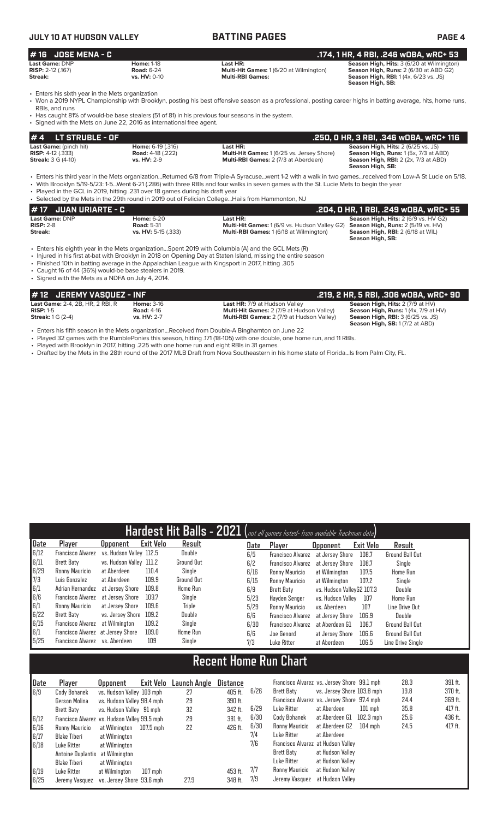## **JULY 10 AT HUDSON VALLEY BATTING PAGES PAGE 4**

### **# 16 JOSE MENA - C .174, 1 HR, 4 RBI, .246 wOBA, wRC+ 53 Last Game:** DNP **Home:** 1-18 **Last HR: Season High, Hits:** 3 (6/20 at Wilmington) **RISP:** 2-12 (.167) **Road:** 6-24 **Multi-Hit Games:** 1 (6/20 at Wilmington) **Season High, Runs:** 2 (6/30 at ABD G2) **Streak:**  $\frac{1}{2}$  (1.37) **Season High, RBI:** 1 (4x, 6/23 vs. JS)<br>**Streak: Streak: Streak: Streak: Streak: Season High, RBI:** 1 (4x, 6/23 vs. JS) **Season High, SB:**

• Enters his sixth year in the Mets organization<br>• Won a 2019 NYPL Championship with Brookl

• Won a 2019 NYPL Championship with Brooklyn, posting his best offensive season as a professional, posting career highs in batting average, hits, home runs, RBIs, and runs

• Has caught 81% of would-be base stealers (51 of 81) in his previous four seasons in the system.

| • Signed with the Mets on June 22, 2016 as international free agent.              |                                                                            |                                                                                                       |                                                                                                                                                       |
|-----------------------------------------------------------------------------------|----------------------------------------------------------------------------|-------------------------------------------------------------------------------------------------------|-------------------------------------------------------------------------------------------------------------------------------------------------------|
| $# 4$ LT STRUBLE - OF                                                             |                                                                            |                                                                                                       | .250. 0 HR. 3 RBI. .346 WOBA. wRC+ 116                                                                                                                |
| Last Game: (pinch hit)<br><b>RISP:</b> $4-12$ (.333)<br><b>Streak: 3 G (4-10)</b> | <b>Home: 6-19 (.316)</b><br><b>Road:</b> 4-18 (.222)<br><b>vs. HV: 2-9</b> | Last HR:<br>Multi-Hit Games: 1 (6/25 vs. Jersey Shore)<br><b>Multi-RBI Games: 2 (7/3 at Aberdeen)</b> | Season High, Hits: 2 (6/25 vs. JS)<br><b>Season High, Runs: 1 (5x, 7/3 at ABD)</b><br><b>Season High, RBI:</b> 2 (2x, 7/3 at ABD)<br>Season High, SB: |

• Enters his third year in the Mets organization...Returned 6/8 from Triple-A Syracuse...went 1-2 with a walk in two games...received from Low-A St Lucie on 5/18. • With Brooklyn 5/19-5/23: 1-5...Went 6-21 (.286) with three RBIs and four walks in seven games with the St. Lucie Mets to begin the year

• Played in the GCL in 2019, hitting .231 over 18 games during his draft year  $\epsilon$  selected by the Mets in the 29th round in 2019 out of Felic

|                             | . Ocicetted by the micto in the 20th round in 2010 out or religion collegeI lally home number, i to |                                                                                                |                                             |  |  |  |  |  |  |  |
|-----------------------------|-----------------------------------------------------------------------------------------------------|------------------------------------------------------------------------------------------------|---------------------------------------------|--|--|--|--|--|--|--|
| <b>#17 JUAN URIARTE - C</b> |                                                                                                     |                                                                                                | .204, 0 HR, 1 RBI, .249 wOBA, wRC+ 55       |  |  |  |  |  |  |  |
| Last Game: DNP              | <b>Home: 6-20</b>                                                                                   | Last HR:                                                                                       | <b>Season High, Hits: 2 (6/9 vs. HV G2)</b> |  |  |  |  |  |  |  |
| $RISP: 2-8$                 | <b>Road: 5-31</b>                                                                                   | <b>Multi-Hit Games:</b> 1 (6/9 vs. Hudson Valley G2) <b>Season High, Runs:</b> 2 (5/19 vs. HV) |                                             |  |  |  |  |  |  |  |
| Streak:                     | vs. HV: 5-15 (.333)                                                                                 | <b>Multi-RBI Games: 1 (6/18 at Wilmington)</b>                                                 | <b>Season High, RBI:</b> 2 (6/18 at WIL)    |  |  |  |  |  |  |  |
|                             |                                                                                                     |                                                                                                | Season High, SB:                            |  |  |  |  |  |  |  |

• Enters his eighth year in the Mets organization...Spent 2019 with Columbia (A) and the GCL Mets (R)

• Injured in his first at-bat with Brooklyn in 2018 on Opening Day at Staten Island, missing the entire season

• Finished 10th in batting average in the Appalachian League with Kingsport in 2017, hitting .305

• Caught 16 of 44 (36%) would-be base stealers in 2019. Signed with the Mets as a NDFA on July 4, 2014.

| # 12 JEREMY VASQUEZ - INF               |                   |                                                  | .219, 2 HR, 5 RBI, .306 wOBA, wRC+ 90           |
|-----------------------------------------|-------------------|--------------------------------------------------|-------------------------------------------------|
| <b>Last Game: 2-4, 2B, HR, 2 RBI, R</b> | <b>Home: 3-16</b> | <b>Last HR: 7/9 at Hudson Valley</b>             | <b>Season High, Hits: 2 (7/9 at HV)</b>         |
| $RISP: 1-5$                             | <b>Road: 4-16</b> | <b>Multi-Hit Games: 2 (7/9 at Hudson Valley)</b> | <b>Season High, Runs:</b> $1(4x, 7/9$ at $HV$ ) |
| <b>Streak:</b> 1 G (2-4)                | vs. HV: 2-7       | <b>Multi-RBI Games: 2 (7/9 at Hudson Valley)</b> | <b>Season High, RBI: 3 (6/25 vs. JS)</b>        |
|                                         |                   |                                                  | <b>Season High, SB: 1 (7/2 at ABD)</b>          |

• Enters his fifth season in the Mets organization...Received from Double-A Binghamton on June 22

Played 32 games with the RumblePonies this season, hitting .171 (18-105) with one double, one home run, and 11 RBIs.

• Played with Brooklyn in 2017, hitting .225 with one home run and eight RBIs in 31 games.

• Drafted by the Mets in the 28th round of the 2017 MLB Draft from Nova Southeastern in his home state of Florida...Is from Palm City, FL.

| Hardest Hit Balls - 2021 (not all games listed- from available Trackman data) |                                   |                         |                  |                 |  |      |                          |                           |           |                   |
|-------------------------------------------------------------------------------|-----------------------------------|-------------------------|------------------|-----------------|--|------|--------------------------|---------------------------|-----------|-------------------|
| Date                                                                          | Player                            | <b>Upponent</b>         | <b>Exit Velo</b> | Result          |  | Date | Player                   | <b>Opponent</b>           | Exit Velo | Result            |
| 6/12                                                                          | Francisco Alvarez                 | vs. Hudson Valley 112.5 |                  | Double          |  | 6/5  | <b>Francisco Alvarez</b> | at Jersev Shore           | 108.7     | Ground Ball Out   |
| 6/11                                                                          | Brett Baty                        | vs. Hudson Valley 111.2 |                  | Ground Out      |  | 6/2  | <b>Francisco Alvarez</b> | at Jersev Shore           | 108.7     | Single            |
| 6/29                                                                          | Ronny Mauricio                    | at Aberdeen             | 110.4            | Single          |  | 6/16 | Ronny Mauricio           | at Wilmington             | 107.5     | Home Run          |
| 7/3                                                                           | Luis Gonzalez                     | at Aberdeen             | 109.9            | Ground Out      |  | 6/15 | Ronny Mauricio           | at Wilmington             | 107.2     | Single            |
| 6/1                                                                           | Adrian Hernandez                  | at Jersev Shore         | 109.8            | <b>Home Run</b> |  | 6/9  | Brett Baty               | vs. Hudson ValleyG2 107.3 |           | Double            |
| 6/6                                                                           | Francisco Alvarez                 | at Jersev Shore         | 109.7            | Single          |  | 5/23 | Havden Senger            | vs. Hudson Valley         | 107       | <b>Home Run</b>   |
| 6/1                                                                           | Ronny Mauricio                    | at Jersey Shore         | 109.6            | <b>Triple</b>   |  | 5/29 | Ronny Mauricio           | vs. Aberdeen              | 107       | Line Drive Out    |
| 6/22                                                                          | Brett Baty                        | vs. Jersey Shore        | 109.2            | Double          |  | 6/6  | <b>Francisco Alvarez</b> | at Jersey Shore           | 106.9     | Double            |
| 6/15                                                                          | Francisco Alvarez                 | at Wilmington           | 109.2            | Single          |  | 6/30 | <b>Francisco Alvarez</b> | at Aberdeen G1            | 106.7     | Ground Ball Out   |
| 6/1                                                                           | Francisco Alvarez at Jersey Shore |                         | 109.0            | Home Run        |  | 6/6  | Joe Genord               | at Jersey Shore           | 106.6     | Ground Ball Out   |
| 5/25                                                                          | Francisco Alvarez vs. Aberdeen    |                         | 109              | Single          |  | 7/3  | Luke Ritter              | at Aberdeen               | 106.5     | Line Drive Single |

# **Recent Home Run Chart**

| Date | Player                                       | <b>Opponent</b>            | Exit Velo | Launch Anole | Distance |      | Francisco Alvarez vs. Jersey Shore 99.1 mph |                            |             | 28.3 | $391$ ft. |
|------|----------------------------------------------|----------------------------|-----------|--------------|----------|------|---------------------------------------------|----------------------------|-------------|------|-----------|
| 6/9  | Cody Bohanek                                 | vs. Hudson Valley 103 mph  |           | 27           | 405 ft.  | 6/26 | Brett Baty                                  | vs. Jersey Shore 103.8 mph |             | 19.8 | 370 ft.   |
|      | Gerson Molina                                | vs. Hudson Valley 98.4 mph |           | 29           | 390 ft.  |      | Francisco Alvarez vs. Jersey Shore 97.4 mph |                            |             | 24.4 | 369 ft.   |
|      | Brett Baty                                   | vs. Hudson Valley 91 mph   |           | 32           | 342 ft.  | 6/29 | Luke Ritter                                 | at Aberdeen                | $101$ mph   | 35.8 | 417 ft.   |
| 6/12 | Francisco Alvarez vs. Hudson Valley 99.5 mph |                            |           | 29           | 381 ft.  | 6/30 | Cody Bohanek                                | at Aberdeen G1             | $102.3$ mph | 25.6 | 436 ft.   |
| 6/16 | Ronny Mauricio                               | at Wilmington              | 107.5 mph | 22           | 426 ft.  | 6/30 | Ronny Mauricio                              | at Aberdeen G2             | $104$ mph   | 24.5 | 417 ft.   |
| 6/17 | Blake Tiberi                                 | at Wilmington              |           |              |          | 7/4  | Luke Ritter                                 | at Aberdeen                |             |      |           |
| 6/18 | Luke Ritter                                  | at Wilmington              |           |              |          | 7/6  | Francisco Alvarez at Hudson Valley          |                            |             |      |           |
|      | Antoine Duplantis at Wilmington              |                            |           |              |          |      | Brett Baty                                  | at Hudson Valley           |             |      |           |
|      | Blake Tiberi                                 | at Wilmington              |           |              |          |      | Luke Ritter                                 | at Hudson Valley           |             |      |           |
| 6/19 | Luke Ritter                                  | at Wilmington              | 107 mph   |              | 453 ft.  | 7/7  | Ronny Mauricio                              | at Hudson Valley           |             |      |           |
| 6/25 | Jeremy Vasquez                               | vs. Jersey Shore 93.6 mph  |           | 27.9         | 348 ft.  | 7/9  | Jeremy Vasquez                              | at Hudson Valley           |             |      |           |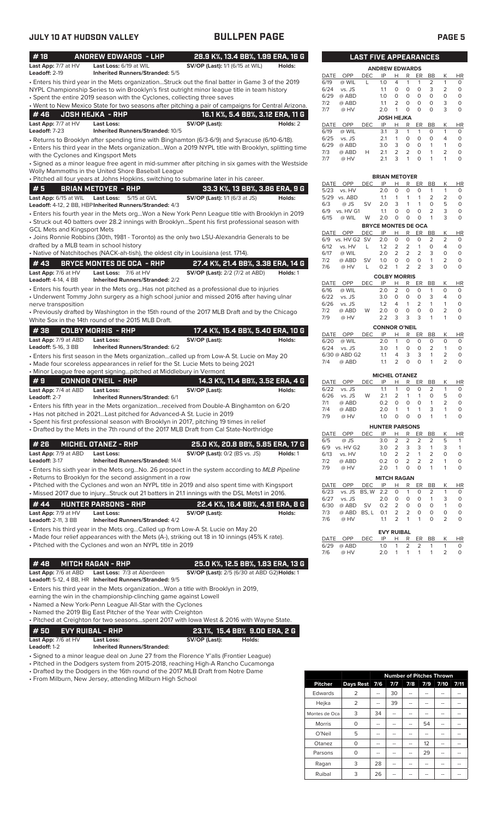| #18                                | <b>ANDREW EDWARDS - LHP</b>                                                                                                                                                                     | 28.9 K%, 13.4 BB%, 1.99 ERA, 16 G                        |                                  |              |                        |             | <b>LAST FIVE APPEARANCES</b>     |                           |                             |                           |                           |                                       |                   |
|------------------------------------|-------------------------------------------------------------------------------------------------------------------------------------------------------------------------------------------------|----------------------------------------------------------|----------------------------------|--------------|------------------------|-------------|----------------------------------|---------------------------|-----------------------------|---------------------------|---------------------------|---------------------------------------|-------------------|
| Last App: 7/7 at HV                | Last Loss: 6/19 at WIL                                                                                                                                                                          | <b>SV/OP (Last):</b> 1/1 (6/15 at WIL)                   | Holds:                           |              |                        |             | <b>ANDREW EDWARDS</b>            |                           |                             |                           |                           |                                       |                   |
| Leadoff: 2-19                      | <b>Inherited Runners/Stranded: 5/5</b>                                                                                                                                                          |                                                          |                                  | DATE         | OPP                    | <b>DEC</b>  | IP                               | н                         | R                           | ER                        | BB                        | Κ                                     | H                 |
|                                    | Enters his third year in the Mets organizationStruck out the final batter in Game 3 of the 2019<br>NYPL Championship Series to win Brooklyn's first outright minor league title in team history |                                                          |                                  | 6/19<br>6/24 | @ WIL<br>vs. JS        | L           | 1.0<br>1.1                       | 4<br>$\circ$              | 1<br>$\circ$                | 1<br>$\circ$              | 2<br>3                    | 1<br>$\overline{2}$                   | 0<br>0            |
|                                    | • Spent the entire 2019 season with the Cyclones, collecting three saves                                                                                                                        |                                                          |                                  | 6/29         | @ ABD                  |             | 1.0                              | $\circ$                   | $\circ$                     | $\circ$                   | $\circ$                   | $\mathsf{O}\xspace$                   | O                 |
|                                    | . Went to New Mexico State for two seasons after pitching a pair of campaigns for Central Arizona.                                                                                              |                                                          |                                  | 7/2          | @ ABD                  |             | 1.1                              | $\overline{2}$            | 0                           | $\circ$                   | $\circ$                   | 3                                     | 0                 |
| #46                                | <b>JOSH HEJKA - RHP</b>                                                                                                                                                                         |                                                          | 16.1 K%, 5.4 BB%, 3.12 ERA, 11 G | 7/7          | @ HV                   |             | 2.0                              | $\mathbf{1}$              | $\circ$                     | $\circ$                   | $\circ$                   | 3                                     | O                 |
| Last App: 7/7 at HV                | Last Loss:                                                                                                                                                                                      | SV/OP (Last):                                            | Holds: 2                         | DATE         | OPP                    | <b>DEC</b>  | <b>JOSH HEJKA</b><br>IP          | н                         | R                           | ER                        | BB                        | Κ                                     | HI                |
| Leadoff: 7-23                      | Inherited Runners/Stranded: 10/5                                                                                                                                                                |                                                          |                                  | 6/19         | @ WIL                  |             | 3.1                              | 3                         | $\mathbf{1}$                | $\mathbf{1}$              | $\circ$                   | 1                                     | 0                 |
|                                    | • Returns to Brooklyn after spending time with Binghamton (6/3-6/9) and Syracuse (6/10-6/18).                                                                                                   |                                                          |                                  | 6/25         | vs. JS                 |             | 2.1                              | $\mathbf{1}$              | $\circ$                     | $\circ$                   | $\circ$                   | 4                                     | 0                 |
|                                    | · Enters his third year in the Mets organizationWon a 2019 NYPL title with Brooklyn, splitting time                                                                                             |                                                          |                                  | 6/29<br>7/3  | @ ABD<br>@ ABD         | н           | 3.0<br>2.1                       | 3<br>$\overline{2}$       | 0<br>$\overline{2}$         | $\circ$<br>$\circ$        | $\mathbf{1}$<br>1         | $\mathbf{1}$<br>$\overline{2}$        | $\circ$<br>0      |
|                                    | with the Cyclones and Kingsport Mets                                                                                                                                                            |                                                          |                                  | 7/7          | @ HV                   |             | 2.1                              | 3                         | $\mathbf{1}$                | $\Omega$                  | 1                         | 1                                     | O                 |
|                                    | · Signed as a minor league free agent in mid-summer after pitching in six games with the Westside                                                                                               |                                                          |                                  |              |                        |             |                                  |                           |                             |                           |                           |                                       |                   |
|                                    | Wolly Mammoths in the United Shore Baseball League<br>. Pitched all four years at Johns Hopkins, switching to submarine later in his career.                                                    |                                                          |                                  |              |                        |             | <b>BRIAN METOYER</b>             |                           |                             |                           |                           |                                       |                   |
| #5                                 | <b>BRIAN METOYER - RHP</b>                                                                                                                                                                      |                                                          | 33.3 K%, 13 BB%, 3.86 ERA, 9 G   | DATE         | OPP                    | <b>DEC</b>  | IP                               | Н                         | R                           | ER                        | BB                        | Κ                                     | H                 |
| Last App: 6/15 at WIL              | <b>Last Loss:</b> 5/15 at GVL                                                                                                                                                                   | <b>SV/OP (Last):</b> 1/1 (6/3 at JS)                     | Holds:                           | 5/23         | vs. HV<br>5/29 vs. ABD |             | 2.0<br>1.1                       | $\circ$<br>$\mathbf{1}$   | $\mathbf 0$<br>$\mathbf{1}$ | $\circ$<br>$\mathbf{1}$   | $\mathbf{1}$<br>2         | $\mathbf{1}$<br>2                     | C<br>C            |
|                                    | Leadoff: 4-12, 2 BB, HBP Inherited Runners/Stranded: 4/3                                                                                                                                        |                                                          |                                  | 6/3          | @ JS                   | SV          | 2.0                              | 3                         | $\mathbf{1}$                | 1                         | $\mathbf 0$               | 5                                     | C                 |
|                                    | · Enters his fourth year in the Mets orgWon a New York Penn League title with Brooklyn in 2019                                                                                                  |                                                          |                                  | 6/9          | vs. HV G1              |             | 1.1                              | $\circ$                   | $\circ$                     | $\circ$                   | $\overline{2}$            | 3                                     | C                 |
|                                    | • Struck out 40 batters over 28.2 innings with BrooklynSpent his first professional season with                                                                                                 |                                                          |                                  | 6/15         | @ WIL                  | W           | 2.0                              | $\circ$                   | $\mathbf 0$                 | $\mathbf 0$               | $\mathbf{1}$              | 3                                     | C                 |
| <b>GCL Mets and Kingsport Mets</b> |                                                                                                                                                                                                 |                                                          |                                  | DATE         | OPP                    | <b>DEC</b>  | <b>BRYCE MONTES DE OCA</b><br>IP | H.                        | R                           | <b>ER</b>                 | BB                        | K                                     | HI                |
|                                    | • Joins Ronnie Robbins (30th, 1981 - Toronto) as the only two LSU-Alexandria Generals to be                                                                                                     |                                                          |                                  | 6/9          | vs. HV G2 SV           |             | 2.0                              | $\circ$                   | $\circ$                     | $\circ$                   | 2                         | 2                                     | O                 |
|                                    | drafted by a MLB team in school history                                                                                                                                                         |                                                          |                                  | 6/12         | vs. HV                 | L           | 1.2                              | 2                         | 2                           | $\mathbf{1}$              | $\circ$                   | $\overline{4}$                        | 0                 |
|                                    | • Native of Natchitoches (NACK-ah-tish), the oldest city in Louisiana (est. 1714).                                                                                                              |                                                          |                                  | 6/17<br>7/2  | @ WIL<br>@ ABD         | SV          | 2.0<br>1.0                       | 2<br>$\mathbf 0$          | 2<br>$\circ$                | $\overline{2}$<br>$\circ$ | 3<br>1                    | $\mathsf{O}\xspace$<br>$\overline{2}$ | 0<br>O            |
| #43                                | <b>BRYCE MONTES DE OCA - RHP</b>                                                                                                                                                                | 27.4 K%, 21.4 BB%, 3.38 ERA, 14 G                        |                                  | 7/6          | @ HV                   | Г           | 0.2                              | $\mathbf{1}$              | $\overline{2}$              | $\overline{2}$            | 3                         | 0                                     | O                 |
| Last App: 7/6 at HV                | Last Loss: 7/6 at HV                                                                                                                                                                            | <b>SV/OP (Last):</b> 2/2 (7/2 at ABD)                    | Holds: 1                         |              |                        |             | <b>COLBY MORRIS</b>              |                           |                             |                           |                           |                                       |                   |
| <b>Leadoff: 4-14, 4 BB</b>         | <b>Inherited Runners/Stranded: 2/2</b>                                                                                                                                                          |                                                          |                                  | DATE         | OPP                    | <b>DEC</b>  | IP                               | н                         | R                           | ER                        | BB                        | Κ                                     | HI                |
|                                    | • Enters his fourth year in the Mets orgHas not pitched as a professional due to injuries<br>• Underwent Tommy John surgery as a high school junior and missed 2016 after having ulnar          |                                                          |                                  | 6/16         | @ WIL                  |             | 2.0<br>3.0                       | $\overline{2}$<br>$\circ$ | $\mathbf 0$<br>0            | $\circ$<br>$\circ$        | $\mathbf{1}$<br>3         | 0<br>$\overline{4}$                   | 0<br>0            |
| nerve transposition                |                                                                                                                                                                                                 |                                                          |                                  | 6/22<br>6/26 | vs. JS<br>vs. JS       |             | 1.2                              | 4                         | 1                           | $\overline{2}$            | $\mathbf{1}$              | $\mathbf{1}$                          | O                 |
|                                    | • Previously drafted by Washington in the 15th round of the 2017 MLB Draft and by the Chicago                                                                                                   |                                                          |                                  | 7/2          | @ ABD                  | W           | 2.0                              | $\circ$                   | 0                           | 0                         | $\circ$                   | $\overline{2}$                        | O                 |
|                                    | White Sox in the 14th round of the 2015 MLB Draft.                                                                                                                                              |                                                          |                                  | 7/9          | @ HV                   |             | 2.2                              | 3                         | 3                           | 3                         | $\mathbf{1}$              | 1                                     | O                 |
| #38                                | <b>COLBY MORRIS - RHP</b>                                                                                                                                                                       | 17.4 K%, 15.4 BB%, 5.40 ERA, 10 G                        |                                  |              |                        |             | <b>CONNOR O'NEIL</b>             |                           |                             |                           |                           |                                       |                   |
| Last App: 7/9 at ABD               | <b>Last Loss:</b>                                                                                                                                                                               | SV/OP (Last):                                            | Holds:                           | DATE<br>6/20 | OPP<br>@ WIL           | <b>DEC</b>  | IP<br>2.0                        | Н<br>$\mathbf{1}$         | R<br>$\mathbf 0$            | ER<br>$\circ$             | BB<br>$\circ$             | Κ<br>$\circ$                          | H                 |
| Leadoff: 5-16, 3 BB                | Inherited Runners/Stranded: 6/2                                                                                                                                                                 |                                                          |                                  | 6/24         | vs. JS                 |             | 3.0                              | $\mathbf{1}$              | O                           | $\circ$                   | 2                         | $\mathbf{1}$                          | C<br>C            |
|                                    | • Enters his first season in the Mets organizationcalled up from Low-A St. Lucie on May 20                                                                                                      |                                                          |                                  |              | 6/30 @ ABD G2          |             | 1.1                              | 4                         | 3                           | 3                         | $\mathbf{1}$              | $\overline{2}$                        | C                 |
|                                    | • Made four scoreless appearances in relief for the St. Lucie Mets to being 2021                                                                                                                |                                                          |                                  | 7/4          | @ ABD                  |             | 1.1                              | $\overline{2}$            | $\circ$                     | $\Omega$                  | $\mathbf{1}$              | $\overline{2}$                        | C                 |
|                                    | • Minor League free agent signingpitched at Middlebury in Vermont                                                                                                                               |                                                          |                                  |              |                        |             | <b>MICHEL OTANEZ</b>             |                           |                             |                           |                           |                                       |                   |
| #9                                 | <b>CONNOR O'NEIL - RHP</b>                                                                                                                                                                      |                                                          | 14.3 K%, 11.4 BB%, 3.52 ERA, 4 G | DATE         | OPP                    | DEC         | IP                               | Н                         | R                           | ER                        | BB                        | K                                     | H                 |
| Last App: 7/4 at ABD               | <b>Last Loss:</b>                                                                                                                                                                               | SV/OP (Last):                                            | Holds:                           | 6/22<br>6/26 | vs. JS<br>vs. JS       | W           | 1.1<br>2.1                       | $\mathbf{1}$<br>2         | $\circ$<br>$\mathbf{1}$     | $\circ$<br>$\mathbf{1}$   | $\overline{2}$<br>$\circ$ | $\mathbf{1}$<br>5                     | C<br>C            |
| Leadoff: 2-7                       | Inherited Runners/Stranded: 6/1                                                                                                                                                                 |                                                          |                                  | 7/1          | @ ABD                  |             | 0.2                              | $\mathsf O$               | $\circ$                     | $\circ$                   | 1                         | $\overline{2}$                        | C                 |
|                                    | · Enters his fifth year in the Mets organizationreceived from Double-A Binghamton on 6/20<br>• Has not pitched in 2021Last pitched for Advanced-A St. Lucie in 2019                             |                                                          |                                  | 7/4          | @ ABD                  |             | 2.0                              | $\mathbf{1}$              | $\mathbf{1}$                | $\mathbf{1}$              | 3                         | $\mathbf{1}$                          | C                 |
|                                    | · Spent his first professional season with Brooklyn in 2017, pitching 19 times in relief                                                                                                        |                                                          |                                  | 7/9          | @ HV                   |             | 1.0                              | 0                         | 0                           | 0                         | 1                         | 1                                     | C                 |
|                                    | • Drafted by the Mets in the 7th round of the 2017 MLB Draft from Cal State-Northridge                                                                                                          |                                                          |                                  |              |                        |             | <b>HUNTER PARSONS</b>            |                           |                             |                           |                           |                                       |                   |
|                                    |                                                                                                                                                                                                 |                                                          |                                  | 6/5          | DATE OPP<br>@ JS       | DEC         | IP<br>3.0                        | н<br>2                    | $\mathsf{R}$<br>2           | ER<br>2                   | BB<br>2                   | Κ<br>5                                | H<br>$\mathbf{1}$ |
| #26                                | <b>MICHEL OTANEZ - RHP</b>                                                                                                                                                                      | 25.0 K%, 20.8 BB%, 5.85 ERA, 17 G                        |                                  |              | 6/9 vs. HV G2          |             | 3.0                              | $\overline{2}$            | 3                           | 3                         | 1                         | 3                                     | 1                 |
| Last App: 7/9 at ABD               | <b>Last Loss:</b>                                                                                                                                                                               | <b>SV/OP (Last): 0/2 (BS vs. JS)</b>                     | Holds: 1                         | 6/13         | vs. HV                 |             | 1.0                              | $\overline{2}$            | 2                           | $\mathbf{1}$              | 2                         | 0                                     | 0                 |
| Leadoff: 3-17                      | <b>Inherited Runners/Stranded: 14/4</b>                                                                                                                                                         |                                                          |                                  | 7/2<br>7/9   | @ ABD<br>@ HV          |             | 0.2<br>2.0                       | 0<br>1                    | 2<br>0                      | $\overline{2}$<br>$\circ$ | 2<br>$\mathbf{1}$         | 1<br>1                                | O<br>O            |
|                                    | • Enters his sixth year in the Mets orgNo. 26 prospect in the system according to MLB Pipeline<br>• Returns to Brooklyn for the second assignment in a row                                      |                                                          |                                  |              |                        |             |                                  |                           |                             |                           |                           |                                       |                   |
|                                    | . Pitched with the Cyclones and won an NYPL title in 2019 and also spent time with Kingsport                                                                                                    |                                                          |                                  | DATE         | OPP                    | <b>DEC</b>  | <b>MITCH RAGAN</b><br>IP         | H                         | R                           | ER                        | BB                        | Κ                                     | H                 |
|                                    | • Missed 2017 due to injuryStruck out 21 batters in 21.1 innings with the DSL Mets1 in 2016.                                                                                                    |                                                          |                                  | 6/23         | vs. JS                 | BS, W       | 2.2                              | 0                         | 1                           | 0                         | 2                         | $\mathbf{1}$                          | C                 |
| #44                                | <b>HUNTER PARSONS - RHP</b>                                                                                                                                                                     | 22.4 K%, 16.4 BB%, 4.91 ERA, 8 G                         |                                  | 6/27         | vs. JS                 |             | 2.0                              | 0                         | 0                           | $\circ$                   | 1                         | 3                                     | C                 |
| Last App: 7/9 at HV                | <b>Last Loss:</b>                                                                                                                                                                               | SV/OP (Last):                                            | Holds:                           | 6/30<br>7/3  | @ ABD<br>@ ABD         | SV<br>BS, L | 0.2<br>0.1                       | 2<br>$\overline{2}$       | 0<br>$\overline{2}$         | 0<br>0                    | 0<br>0                    | $\mathbf{1}$<br>0                     | C<br>C            |
| <b>Leadoff: 2-11, 3 BB</b>         | <b>Inherited Runners/Stranded: 4/2</b>                                                                                                                                                          |                                                          |                                  | 7/6          | @ HV                   |             | 1.1                              | 2                         | $\mathbf{1}$                | 1                         | 0                         | 2                                     | C                 |
|                                    | • Enters his third year in the Mets orgCalled up from Low-A St. Lucie on May 20                                                                                                                 |                                                          |                                  |              |                        |             | <b>EVY RUIBAL</b>                |                           |                             |                           |                           |                                       |                   |
|                                    | • Made four relief appearances with the Mets (A-), striking out 18 in 10 innings (45% K rate).                                                                                                  |                                                          |                                  | DATE         | OPP                    | DEC         | IP                               | н                         | R                           | ER                        | BB                        | Κ                                     | H                 |
|                                    | • Pitched with the Cyclones and won an NYPL title in 2019                                                                                                                                       |                                                          |                                  | 6/29         | @ ABD                  |             | 1.0                              | 1                         | 2                           | $\overline{2}$            | 1                         | $\mathbf{1}$                          | O                 |
|                                    |                                                                                                                                                                                                 |                                                          |                                  | 7/6          | @ HV                   |             | 2.0                              | $\mathbf{1}$              | $\mathbf{1}$                | $\mathbf{1}$              | $\mathbf{1}$              | $\overline{2}$                        | O                 |
| #48                                | <b>MITCH RAGAN - RHP</b>                                                                                                                                                                        | 25.0 K%, 12.5 BB%, 1.83 ERA, 13 G                        |                                  |              |                        |             |                                  |                           |                             |                           |                           |                                       |                   |
| Last App: 7/6 at ABD               | Last Loss: 7/3 at Aberdeen                                                                                                                                                                      | SV/OP (Last): 2/5 (6/30 at ABD G2) Holds: 1              |                                  |              |                        |             |                                  |                           |                             |                           |                           |                                       |                   |
|                                    | Leadoff: 5-12, 4 BB, HR Inherited Runners/Stranded: 9/5                                                                                                                                         |                                                          |                                  |              |                        |             |                                  |                           |                             |                           |                           |                                       |                   |
|                                    | • Enters his third year in the Mets organizationWon a title with Brooklyn in 2019,                                                                                                              |                                                          |                                  |              |                        |             |                                  |                           |                             |                           |                           |                                       |                   |
|                                    | earning the win in the championship-clinching game against Lowell                                                                                                                               |                                                          |                                  |              |                        |             |                                  |                           |                             |                           |                           |                                       |                   |
|                                    | • Named a New York-Penn League All-Star with the Cyclones<br>• Named the 2019 Big East Pitcher of the Year with Creighton                                                                       |                                                          |                                  |              |                        |             |                                  |                           |                             |                           |                           |                                       |                   |
|                                    | . Pitched at Creighton for two seasonsspent 2017 with lowa West & 2016 with Wayne State.                                                                                                        |                                                          |                                  |              |                        |             |                                  |                           |                             |                           |                           |                                       |                   |
|                                    |                                                                                                                                                                                                 |                                                          |                                  |              |                        |             |                                  |                           |                             |                           |                           |                                       |                   |
| #50<br>Last App: 7/6 at HV         | <b>EVY RUIBAL - RHP</b><br><b>Last Loss:</b>                                                                                                                                                    | 23.1%, 15.4 BB% 9.00 ERA, 2 G<br>SV/OP (Last):<br>Holds: |                                  |              |                        |             |                                  |                           |                             |                           |                           |                                       |                   |
|                                    |                                                                                                                                                                                                 |                                                          |                                  |              |                        |             |                                  |                           |                             |                           |                           |                                       |                   |

**Leadoff:** 1-2 **Inherited Runners/Stranded:**

• Signed to a minor league deal on June 27 from the Florence Y'alls (Frontier League)

• Pitched in the Dodgers system from 2015-2018, reaching High-A Rancho Cucamonga

• Drafted by the Dodgers in the 16th round of the 2017 MLB Draft from Notre Dame

• From Milburn, New Jersey, attending Milburn High School

|                |           | <b>Number of Pitches Thrown</b> |     |     |     |      |      |  |  |  |
|----------------|-----------|---------------------------------|-----|-----|-----|------|------|--|--|--|
| <b>Pitcher</b> | Days Rest | 7/6                             | 7/7 | 7/8 | 7/9 | 7/10 | 7/11 |  |  |  |
| Edwards        | 2         | --                              | 30  |     |     |      |      |  |  |  |
| Hejka          | 2         |                                 | 39  |     |     |      |      |  |  |  |
| Montes de Oca  | 3         | 34                              | --  | --  | --  | --   |      |  |  |  |
| Morris         | 0         | --                              |     |     | 54  |      |      |  |  |  |
| O'Neil         | 5         | --                              |     |     | --  |      |      |  |  |  |
| Otanez         | $\Omega$  | --                              |     |     | 12  | --   |      |  |  |  |
| Parsons        | 0         | --                              |     |     | 29  |      |      |  |  |  |
| Ragan          | 3         | 28                              |     |     | --  | --   |      |  |  |  |
| Ruibal         | 3         | 26                              |     |     |     |      |      |  |  |  |

| <b>ANDREW EDWARDS</b> |            |     |                |                |                   |                |   |                              |  |
|-----------------------|------------|-----|----------------|----------------|-------------------|----------------|---|------------------------------|--|
| OPP                   | <b>DEC</b> | IP  | н              | R              | ER                | BB             | Κ | HR                           |  |
| @ WIL                 | L          | 1.0 | $\overline{4}$ | 1              | 1                 | $\overline{2}$ | 1 | 0                            |  |
| vs. JS                |            | 1.1 | $\Omega$       | 0              | O                 | 3              | 2 | $\Omega$                     |  |
| @ ABD                 |            | 1.0 | $\Omega$       | 0              | O                 | O              | 0 | $\Omega$                     |  |
| @ ABD                 |            | 1.1 | $\overline{2}$ | 0              | $\Omega$          | O              | 3 | $\Omega$                     |  |
| @ HV                  |            | 2.0 | 1              | 0              | $\Omega$          | 0              | 3 | $\Omega$                     |  |
|                       |            |     |                |                |                   |                |   |                              |  |
| OPP                   | <b>DEC</b> | IP  | н              | R              | ER                | BB             | Κ | <b>HR</b>                    |  |
| @ WIL                 |            | 3.1 | 3              | 1              | 1                 | $\Omega$       | 1 | $\Omega$                     |  |
| vs. JS                |            | 2.1 | 1              | $\Omega$       | $\Omega$          | $\Omega$       | 4 | $\Omega$                     |  |
| @ ABD                 |            | 3.0 | 3              | 0              | O                 | 1              | 1 | 0                            |  |
| @ ABD                 | н          | 2.1 | 2              | $\overline{2}$ | $\Omega$          | 1              | 2 | 0                            |  |
| @ HV                  |            | 2.1 | 3              | 1              | ∩                 | 1              | 1 | $\Omega$                     |  |
|                       |            |     |                |                | <b>JOSH HEJKA</b> |                |   | <b>LAST FIVE APPEARANCES</b> |  |

|             |              |            | <b>BRIAN METOYER</b>       |                |                |                |                |                |    |
|-------------|--------------|------------|----------------------------|----------------|----------------|----------------|----------------|----------------|----|
| <b>DATE</b> | OPP          | DEC        | IP                         | Н              | R              | ER             | BB             | Κ              | ΗR |
| 5/23        | vs. HV       |            | 2.0                        | O              | $\Omega$       | $\Omega$       | 1              | 1              | 0  |
| 5/29        | vs. ABD      |            | 1.1                        | 1              | 1              | 1              | 2              | 2              | 0  |
| 6/3         | @ JS         | SV         | 2.0                        | 3              | 1              | 1              | O              | 5              | 0  |
| 6/9         | vs. HV G1    |            | 1.1                        | O              | $\Omega$       | $\Omega$       | 2              | 3              | 0  |
| 6/15        | @ WIL        | W          | 2.0                        | 0              | 0              | 0              | 1              | 3              | 0  |
|             |              |            | <b>BRYCE MONTES DE OCA</b> |                |                |                |                |                |    |
| <b>DATE</b> | <b>OPP</b>   | <b>DEC</b> | IP                         | н              | R              | ER             | BB             | Κ              | ΗR |
| 6/9         | vs. HV G2 SV |            | 2.0                        | $\Omega$       | 0              | O              | $\overline{2}$ | $\overline{2}$ | 0  |
| 6/12        | vs. HV       | L          | 1.2                        | 2              | 2              | 1              | O              | 4              | 0  |
| 6/17        | @ WIL        |            | 2.0                        | $\overline{2}$ | $\overline{2}$ | 2              | 3              | $\Omega$       | 0  |
| 7/2         | @ ABD        | SV         | 1.0                        | 0              | O              | $\Omega$       | 1              | 2              | 0  |
| 7/6         | @ HV         | L          | 0.2                        | 1              | 2              | 2              | 3              | 0              | 0  |
|             |              |            | <b>COLBY MORRIS</b>        |                |                |                |                |                |    |
| <b>DATE</b> | OPP          | <b>DEC</b> | IP                         | н              | R              | ER             | <b>BB</b>      | Κ              | ΗR |
| 6/16        | @ WIL        |            | 2.0                        | $\overline{2}$ | 0              | 0              | 1              | $\Omega$       | 0  |
| 6/22        | vs. JS       |            | 3.0                        | 0              | 0              | 0              | 3              | 4              | 0  |
| 6/26        | vs. JS       |            | 1.2                        | 4              | 1              | $\overline{2}$ | 1              | 1              | 0  |
| 7/2         | @ ABD        | W          | 2.0                        | 0              | 0              | 0              | O              | 2              | 0  |
| 7/9         | @ HV         |            | 2.2                        | 3              | 3              | 3              | 1              | 1              | 0  |
|             |              |            | . <i>.</i> . .             |                | . <b>.</b>     |                |                |                |    |

|      | <b>CONNOR O'NEIL</b> |      |     |                |                         |          |                |   |              |
|------|----------------------|------|-----|----------------|-------------------------|----------|----------------|---|--------------|
|      | DATE OPP             | DEC. | IP  | H.             |                         | R ER     | <b>BB</b>      |   | <b>HR</b>    |
| 6/20 | @ WIL                |      | 2.0 | 1              |                         | 0 O      | $\Omega$       |   | <sup>o</sup> |
|      | 6/24 vs. JS          |      | 30  | 1              | $\Omega$                | $\Omega$ | $\mathcal{P}$  |   |              |
|      | 6/30 @ ABD G2        |      | 11  | $\overline{4}$ | $\overline{\mathbf{3}}$ | 3        | $\overline{1}$ |   |              |
| 7/4  | @ ABD                |      | 11  | $\mathcal{P}$  | <sup>n</sup>            | O        |                | 2 |              |
|      |                      |      |     |                |                         |          |                |   |              |

|      |           |     | <b>MICHEL OTANEZ</b>  |                |                |                |                |   |           |
|------|-----------|-----|-----------------------|----------------|----------------|----------------|----------------|---|-----------|
| DATE | OPP       | DEC | IP                    | н              | R              | ER             | <b>BB</b>      | K | <b>HR</b> |
| 6/22 | vs. JS    |     | 1.1                   | 1              | 0              | Ο              | 2              |   | $\Omega$  |
| 6/26 | vs. JS    | W   | 2.1                   | $\overline{2}$ | 1              | 1              | 0              | 5 | O         |
| 7/1  | @ ABD     |     | 0.2                   | Ο              | O              | Ο              | 1              | 2 | O         |
| 7/4  | @ ABD     |     | 2.0                   | 1              | 1              | 1              | 3              | 1 | O         |
| 7/9  | @ HV      |     | 1.0                   | ი              | O              | O              | 1              |   | O         |
|      |           |     | <b>HUNTER PARSONS</b> |                |                |                |                |   |           |
| DATE | OPP       | DEC | IP                    | н              | R              | ER             | <b>BB</b>      | K | <b>HR</b> |
| 6/5  | $@$ JS    |     | 3.0                   | $\overline{2}$ | 2              | $\overline{2}$ | 2              | 5 | 1         |
| 6/9  | vs. HV G2 |     | 3.0                   | $\overline{2}$ | 3              | 3              | 1              | 3 | 1         |
| 6/13 | vs. HV    |     | 1.0                   | $\overline{2}$ | 2              | 1              | $\overline{2}$ | 0 | 0         |
| 7/2  | @ ABD     |     | 0.2                   | Ο              | $\overline{2}$ | $\overline{2}$ | $\overline{2}$ |   | 0         |
| 7/9  | @ HV      |     | 2.0                   | 1              | O              | ი              | 1              |   | O         |

|      | <b>MITCH RAGAN</b>      |      |                   |               |                          |          |    |               |          |  |
|------|-------------------------|------|-------------------|---------------|--------------------------|----------|----|---------------|----------|--|
| DATE | OPP                     | DEC. | $\mathsf{IP}$     | H.            | R.                       | ER       | BB | К             | HR.      |  |
|      | 6/23 vs. JS BS, W 2.2 0 |      |                   |               | $\overline{\phantom{1}}$ | $\Omega$ | 2  | 1             | O        |  |
| 6/27 | vs. JS                  |      | 2.0               | $\Omega$      | $\Omega$                 | 0        | 1  | 3             | O        |  |
| 6/30 | @ ABD SV                |      |                   | $0.2 \quad 2$ | 0                        | O        | O  | 1             | O        |  |
| 7/3  | @ ABD BS.L 0.1 2 2      |      |                   |               |                          | 0        | 0  | O             | O        |  |
| 7/6  | @ HV                    |      | 1.1               | 2             | 1                        |          | O  | $\mathcal{P}$ | $\Omega$ |  |
|      |                         |      | <b>EVY RUIBAL</b> |               |                          |          |    |               |          |  |
| DATE | OPP                     | DEC. | IP                | н             | R                        | ER       | BB |               | -IR      |  |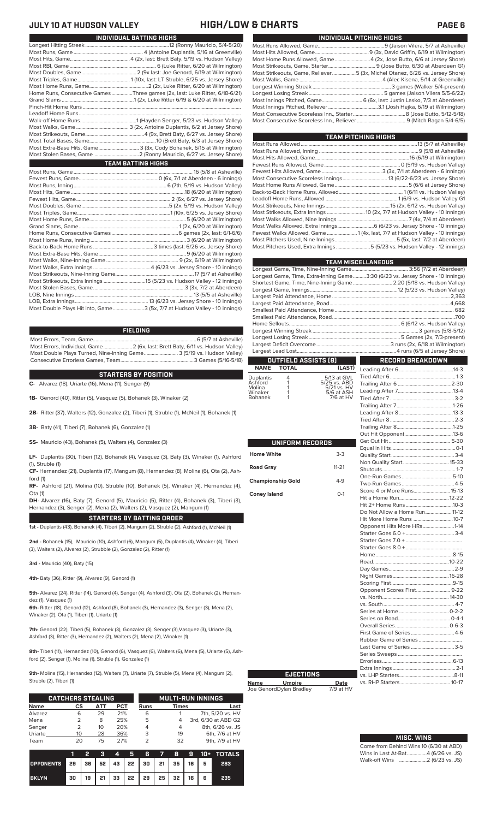| <b>INDIVIDUAL UATTING INDITE</b>                                            |
|-----------------------------------------------------------------------------|
|                                                                             |
|                                                                             |
|                                                                             |
|                                                                             |
|                                                                             |
|                                                                             |
|                                                                             |
| Home Runs, Consecutive Games Three games (2x, last: Luke Ritter, 6/18-6/21) |
|                                                                             |
|                                                                             |
|                                                                             |
|                                                                             |
|                                                                             |
|                                                                             |
|                                                                             |
| Most Extra-Base Hits, Game 3 (3x, Cody Bohanek, 6/15 at Wilmington)         |
|                                                                             |
| <b>TEAM BATTING HIGHS</b>                                                   |
|                                                                             |
|                                                                             |
|                                                                             |
|                                                                             |
|                                                                             |
|                                                                             |
|                                                                             |
|                                                                             |
|                                                                             |

**INDIVIDUAL BATTING HIGHS**

| Most Double Plays Hit into, Game3 (5x, 7/7 at Hudson Valley - 10 innings) |  |
|---------------------------------------------------------------------------|--|

### **FIELDING**

Most Errors, Team, Game...............................................................................6 (5/7 at Asheville) .<br>2 (6x, last: Brett Baty, 6/11 vs. Hudson Valley)<br>3 (5/19 vs. Hudson Valley) Most Double Plays Turned, Nine-Inning Game.......................... 3 (5/19 vs. Hudson Valley) Consecutive Errorless Games, Team.

**C-** Alvarez (18), Uriarte (16), Mena (11), Senger (9) **STARTERS BY POSITION**

**1B-** Genord (40), Ritter (5), Vasquez (5), Bohanek (3), Winaker (2)

**2B-** Ritter (37), Walters (12), Gonzalez (2), Tiberi (1), Struble (1), McNeil (1), Bohanek (1)

**3B-** Baty (41), Tiberi (7), Bohanek (6), Gonzalez (1)

**SS-** Mauricio (43), Bohanek (5), Walters (4), Gonzalez (3)

**LF-** Duplantis (30), Tiberi (12), Bohanek (4), Vasquez (3), Baty (3), Winaker (1), Ashford (1), Struble (1)

**CF-** Hernandez (21), Duplantis (17), Mangum (8), Hernandez (8), Molina (6), Ota (2), Ashford (1)

**RF-** Ashford (21), Molina (10), Struble (10), Bohanek (5), Winaker (4), Hernandez (4), Ota (1)

**DH-** Alvarez (16), Baty (7), Genord (5), Mauricio (5), Ritter (4), Bohanek (3), Tiberi (3), Hernandez (3), Senger (2), Mena (2), Walters (2), Vasquez (2), Mangum (1)

**STARTERS BY BATTING ORDER 1st -** Duplantis (43), Bohanek (4), Tiberi (2), Mangum (2), Struble (2), Ashford (1), McNeil (1)

**2nd -** Bohanek (15), Mauricio (10), Ashford (6), Mangum (5), Duplantis (4), Winaker (4), Tiberi (3), Walters (2), Alvarez (2), Strubble (2), Gonzalez (2), Ritter (1)

**3rd -** Mauricio (40), Baty (15)

**4th-** Baty (36), Ritter (9), Alvarez (9), Genord (1)

**5th-** Alvarez (24), Ritter (14), Genord (4), Senger (4), Ashford (3), Ota (2), Bohanek (2), Hernandez (1), Vasquez (1)

**6th-** Ritter (18), Genord (12), Ashford (8), Bohanek (3), Hernandez (3), Senger (3), Mena (2), Winaker (2), Ota (1), Tiberi (1), Uriarte (1)

**7th-** Genord (22), Tiberi (5), Bohanek (3), Gonzalez (3), Senger (3),Vasquez (3), Uriarte (3), Ashford (3), Ritter (3), Hernandez (2), Walters (2), Mena (2), Winaker (1)

**8th-** Tiberi (11), Hernandez (10), Genord (6), Vasquez (6), Walters (6), Mena (5), Uriarte (5), Ashford (2), Senger (1), Molina (1), Struble (1), Gonzalez (1)

**9th-** Molina (15), Hernandez (12), Walters (7), Uriarte (7), Struble (5), Mena (4), Mangum (2), Struble (2), Tiberi (1)

|             | <b>CATCHERS STEALING</b> |     |            |      |              | <b>MULTI-RUN INNINGS</b> |
|-------------|--------------------------|-----|------------|------|--------------|--------------------------|
| <b>Name</b> | СS                       | АТТ | <b>PCT</b> | Runs | <b>Times</b> | Last                     |
| Alvarez     | 6                        | 29  | 21%        | 6    |              | 7th, 5/20 vs. HV         |
| Mena        |                          | 8   | 25%        | 5    | 4            | 3rd, 6/30 at ABD G2      |
| Senger      | 2                        | 10  | 20%        | 4    | 4            | 8th, 6/26 vs. JS         |
| Uriarte     | 10                       | 28  | 36%        | 3    | 19           | 6th, 7/6 at HV           |
| Team        | 20                       | 75  | 27%        |      | 32           | 9th, 7/9 at HV           |

|                  |                                                | 2               | - 3 |  |                                                           |  |   | 4 5 6 7 8 9 10 + TOTALS |
|------------------|------------------------------------------------|-----------------|-----|--|-----------------------------------------------------------|--|---|-------------------------|
| <b>OPPONENTS</b> | 29   36   52   43   22   30   21   35   16   5 |                 |     |  |                                                           |  |   | 283                     |
| <b>BKLYN</b>     | 30                                             | 19 <sup>1</sup> |     |  | $21 \mid 33 \mid 22 \mid 29 \mid 25 \mid 32 \mid 16 \mid$ |  | 6 | 235                     |

### **JULY 10 AT HUDSON VALLEY HIGH/LOW & CHARTS PAGE 6**

| INDIVIDUAL PITCHING HIGHS                                                   |
|-----------------------------------------------------------------------------|
|                                                                             |
|                                                                             |
| Most Home Runs Allowed, Game4 (2x, Jose Butto, 6/6 at Jersey Shore)         |
|                                                                             |
| Most Strikeouts, Game, Reliever5 (3x, Michel Otanez, 6/26 vs. Jersey Shore) |
|                                                                             |
|                                                                             |
|                                                                             |
|                                                                             |
|                                                                             |
|                                                                             |
|                                                                             |

| TEAM PITCHING HIGHS                                                        |  |
|----------------------------------------------------------------------------|--|
|                                                                            |  |
|                                                                            |  |
|                                                                            |  |
|                                                                            |  |
|                                                                            |  |
|                                                                            |  |
|                                                                            |  |
|                                                                            |  |
|                                                                            |  |
|                                                                            |  |
|                                                                            |  |
|                                                                            |  |
|                                                                            |  |
| Fewest Walks Allowed, Game 1 (4x, last, 7/7 at Hudson Valley - 10 innings) |  |
|                                                                            |  |
| Most Pitchers Used, Extra Innings 5 (5/23 vs. Hudson Valley - 12 innings)  |  |
|                                                                            |  |

|                   | <b>TEAM MISCELLANEOUS</b> |                               |                                                                                |  |  |  |  |  |  |  |
|-------------------|---------------------------|-------------------------------|--------------------------------------------------------------------------------|--|--|--|--|--|--|--|
|                   |                           |                               |                                                                                |  |  |  |  |  |  |  |
|                   |                           |                               | Longest Game, Time, Extra-Inning Game3:30 (6/23 vs. Jersey Shore - 10 innings) |  |  |  |  |  |  |  |
|                   |                           |                               | Shortest Game, Time, Nine-Inning Game  2:20 (5/18 vs. Hudson Valley)           |  |  |  |  |  |  |  |
|                   |                           |                               |                                                                                |  |  |  |  |  |  |  |
|                   |                           |                               |                                                                                |  |  |  |  |  |  |  |
|                   |                           |                               |                                                                                |  |  |  |  |  |  |  |
|                   |                           |                               |                                                                                |  |  |  |  |  |  |  |
|                   |                           |                               |                                                                                |  |  |  |  |  |  |  |
|                   |                           |                               |                                                                                |  |  |  |  |  |  |  |
|                   |                           |                               |                                                                                |  |  |  |  |  |  |  |
|                   |                           |                               |                                                                                |  |  |  |  |  |  |  |
|                   |                           |                               |                                                                                |  |  |  |  |  |  |  |
|                   |                           |                               |                                                                                |  |  |  |  |  |  |  |
|                   |                           | OUTFIELD ASSISTS [8]          | <b>RECORD BREAKDOWN</b>                                                        |  |  |  |  |  |  |  |
| <b>NAME</b>       | <b>TOTAL</b>              | (LAST)                        |                                                                                |  |  |  |  |  |  |  |
|                   |                           |                               |                                                                                |  |  |  |  |  |  |  |
| Duplantis         | 4                         | 5/13 at GVL                   |                                                                                |  |  |  |  |  |  |  |
| Ashford<br>Molina |                           | 5/25 vs. ABD<br>$5/21$ vs. HV |                                                                                |  |  |  |  |  |  |  |
| Winaker           |                           | 5/6 at ASH                    |                                                                                |  |  |  |  |  |  |  |
| Bohanek           |                           | 7/6 at HV                     |                                                                                |  |  |  |  |  |  |  |

|                          | UNIFORM RECORDS  |                               |  |
|--------------------------|------------------|-------------------------------|--|
|                          |                  |                               |  |
| <b>Home White</b>        | $3-3$            |                               |  |
|                          |                  |                               |  |
| <b>Road Gray</b>         | $11 - 21$        |                               |  |
|                          |                  |                               |  |
| <b>Championship Gold</b> | $4 - 9$          |                               |  |
| <b>Coney Island</b>      | $O-1$            |                               |  |
|                          |                  |                               |  |
|                          |                  |                               |  |
|                          |                  | Do Not Allow a Home Run 11-12 |  |
|                          |                  | Hit More Home Runs 10-7       |  |
|                          |                  | Opponent Hits More HRs1-14    |  |
|                          |                  |                               |  |
|                          |                  |                               |  |
|                          |                  |                               |  |
|                          |                  |                               |  |
|                          |                  |                               |  |
|                          |                  |                               |  |
|                          |                  |                               |  |
|                          |                  |                               |  |
|                          |                  | Opponent Scores First 9-22    |  |
|                          |                  |                               |  |
|                          |                  |                               |  |
|                          |                  |                               |  |
|                          |                  |                               |  |
|                          |                  |                               |  |
|                          |                  |                               |  |
|                          |                  |                               |  |
|                          |                  |                               |  |
|                          |                  |                               |  |
|                          |                  |                               |  |
|                          |                  |                               |  |
|                          | <b>EJECTIONS</b> |                               |  |
| مممول<br>l Impira        | nato             | vs BUB Starters (10.17)       |  |

**Name Umpire Date** Joe GenordDylan Bradley 7/9 at HV

Г

| Do Not Allow a Home Run 11-12 |  |
|-------------------------------|--|
| Hit More Home Runs 10-7       |  |
| Opponent Hits More HRs1-14    |  |
|                               |  |
|                               |  |
|                               |  |
|                               |  |
|                               |  |
|                               |  |
|                               |  |
|                               |  |
| Opponent Scores First 9-22    |  |
|                               |  |
|                               |  |
|                               |  |
|                               |  |
|                               |  |
|                               |  |
|                               |  |
| Last Game of Series 3-5       |  |
|                               |  |
|                               |  |
|                               |  |
|                               |  |
|                               |  |

Trailing After 7...........................................1-26 Leading After 8 .........................................13-3

| <b>MISC. WINS</b>                      |
|----------------------------------------|
| Come from Behind Wins 10 (6/30 at ABD) |
| Wins in Last At-Bat4 (6/26 vs. JS)     |
| Walk-off Wins 2 (6/23 vs. JS)          |

Г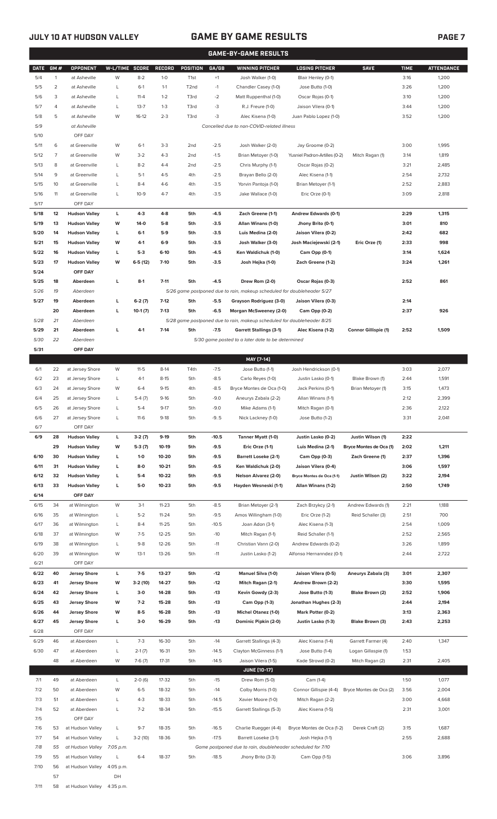## **JULY 10 AT HUDSON VALLEY GAME BY GAME RESULTS PAGE 7**

|             | <b>GAME-BY-GAME RESULTS</b> |                      |                |           |               |                   |         |                                                                         |                               |                             |             |                   |
|-------------|-----------------------------|----------------------|----------------|-----------|---------------|-------------------|---------|-------------------------------------------------------------------------|-------------------------------|-----------------------------|-------------|-------------------|
| <b>DATE</b> | GM#                         | OPPONENT             | W-L/TIME SCORE |           | <b>RECORD</b> | <b>POSITION</b>   | GA/GB   | <b>WINNING PITCHER</b>                                                  | <b>LOSING PITCHER</b>         | <b>SAVE</b>                 | <b>TIME</b> | <b>ATTENDANCE</b> |
| 5/4         | $\mathbf{1}$                | at Asheville         | W              | $8 - 2$   | $1-0$         | T <sub>1st</sub>  | $+1$    | Josh Walker (1-0)                                                       | Blair Henley (0-1)            |                             | 3:16        | 1,200             |
| 5/5         | $\overline{c}$              | at Asheville         | L              | $6-1$     | $1 - 1$       | T <sub>2</sub> nd | $-1$    | Chandler Casey (1-0)                                                    | Jose Butto (1-0)              |                             | 3:26        | 1,200             |
| 5/6         | 3                           | at Asheville         | L              | $11 - 4$  | $1 - 2$       | T3rd              | $-2$    | Matt Ruppenthal (1-0)                                                   | Oscar Rojas (0-1)             |                             | 3:10        | 1,200             |
| 5/7         | 4                           | at Asheville         | L              | $13 - 7$  | $1 - 3$       | T3rd              | -3      | R.J. Freure (1-0)                                                       | Jaison Vilera (0-1)           |                             | 3:44        | 1,200             |
| 5/8         | 5                           | at Asheville         | W              | $16-12$   | $2 - 3$       | T3rd              | -3      | Alec Kisena (1-0)                                                       | Juan Pablo Lopez (1-0)        |                             | 3:52        | 1,200             |
| 5/9         |                             | at Asheville         |                |           |               |                   |         | Cancelled due to non-COVID-related illness                              |                               |                             |             |                   |
| 5/10        |                             | OFF DAY              |                |           |               |                   |         |                                                                         |                               |                             |             |                   |
| 5/11        | 6                           | at Greenville        | W              | $6-1$     | $3-3$         | 2 <sub>nd</sub>   | $-2.5$  | Josh Walker (2-0)                                                       | Jay Groome (0-2)              |                             | 3:00        | 1,995             |
| 5/12        | $\overline{7}$              | at Greenville        | W              | $3 - 2$   | $4 - 3$       | 2 <sub>nd</sub>   | $-1.5$  | Brian Metoyer (1-0)                                                     | Yusniel Padron-Artilles (0-2) | Mitch Ragan (1)             | 3:14        | 1,819             |
| 5/13        | 8                           | at Greenville        | L              | $8 - 2$   | $4 - 4$       | 2 <sub>nd</sub>   | $-2.5$  | Chris Murphy (1-1)                                                      | Oscar Rojas (0-2)             |                             | 3:21        | 2,485             |
| 5/14        | 9                           | at Greenville        | L              | $5-1$     | $4 - 5$       | 4th               | $-2.5$  | Brayan Bello (2-0)                                                      | Alec Kisena (1-1)             |                             | 2:54        | 2,732             |
| 5/15        | 10                          | at Greenville        | L              | $8 - 4$   | $4-6$         | 4th               | $-3.5$  | Yorvin Pantoja (1-0)<br>Brian Metoyer (1-1)                             |                               | 2:52                        | 2,883       |                   |
| 5/16        | 11                          | at Greenville        | L              | $10 - 9$  | $4 - 7$       | 4th               | $-3.5$  | Jake Wallace (1-0)<br>Eric Orze (0-1)                                   |                               | 3:09                        | 2,818       |                   |
| 5/17        |                             | OFF DAY              |                |           |               |                   |         |                                                                         |                               |                             |             |                   |
| 5/18        | 12                          | <b>Hudson Valley</b> | L              | $4-3$     | $4-8$         | 5th               | $-4.5$  | Zach Greene (1-1)                                                       | Andrew Edwards (0-1)          |                             | 2:29        | 1,315             |
| 5/19        | 13                          | <b>Hudson Valley</b> | W              | $14-0$    | $5-8$         | 5th               | $-3.5$  | Allan Winans (1-0)                                                      | Jhony Brito (0-1)             |                             | 3:01        | 810               |
| 5/20        | 14                          | <b>Hudson Valley</b> | L              | $6-1$     | $5-9$         | 5th               | $-3.5$  | Luis Medina (2-0)                                                       | Jaison Vilera (0-2)           |                             | 2:42        | 682               |
| 5/21        | 15                          | <b>Hudson Valley</b> | W              | 4-1       | $6-9$         | 5th               | $-3.5$  | Josh Walker (3-0)                                                       | Josh Maciejewski (2-1)        | Eric Orze (1)               | 2:33        | 998               |
| 5/22        | 16                          | <b>Hudson Valley</b> | L              | $5-3$     | $6-10$        | 5th               | $-4.5$  | Ken Waldichuk (1-0)                                                     | Cam Opp (0-1)                 |                             | 3:14        | 1,624             |
| 5/23        | 17                          | <b>Hudson Valley</b> | W              | $6-5(12)$ | $7-10$        | 5th               | $-3.5$  | Josh Hejka (1-0)                                                        | Zach Greene (1-2)             |                             | 3:24        | 1,261             |
| 5/24        |                             | OFF DAY              |                |           |               |                   |         |                                                                         |                               |                             |             |                   |
| 5/25        | 18                          | Aberdeen             | L              | $8-1$     | $7 - 11$      | 5th               | $-4.5$  | Drew Rom (2-0)                                                          | Oscar Rojas (0-3)             |                             | 2:52        | 861               |
| 5/26        | 19                          | Aberdeen             |                |           |               |                   |         | 5/26 game postponed due to rain, makeup scheduled for doubleheader 5/27 |                               |                             |             |                   |
| 5/27        | 19                          |                      | г              |           | $7-12$        |                   |         |                                                                         |                               |                             |             |                   |
|             |                             | Aberdeen             |                | $6-2(7)$  |               | 5th               | $-5.5$  | Grayson Rodriguez (3-0)                                                 | Jaison Vilera (0-3)           |                             | 2:14        |                   |
|             | 20                          | Aberdeen             | г              | $10-1(7)$ | $7-13$        | 5th               | $-6.5$  | Morgan McSweeney (2-0)                                                  | Cam Opp (0-2)                 |                             | 2:37        | 926               |
| 5/28        | 21<br>21                    | Aberdeen             | г              | $4-1$     |               | 5th               |         | 5/28 game postponed due to rain, makeup scheduled for doubleheader 8/25 |                               |                             | 2:52        | 1,509             |
| 5/29        |                             | Aberdeen             |                |           | $7-14$        |                   | $-7.5$  | <b>Garrett Stallings (3-1)</b>                                          | Alec Kisena (1-2)             | <b>Connor Gillispie (1)</b> |             |                   |
| 5/30        | 22                          | Aberdeen             |                |           |               |                   |         | 5/30 game posted to a later date to be determined                       |                               |                             |             |                   |
| 5/31        |                             | OFF DAY              |                |           |               |                   |         |                                                                         |                               |                             |             |                   |
|             |                             |                      |                |           |               |                   |         | MAY [7-14]                                                              |                               |                             |             |                   |
| 6/1         | 22                          | at Jersey Shore      | W              | $11 - 5$  | $8-14$        | T4th              | $-7.5$  | Jose Butto (1-1)                                                        | Josh Hendrickson (0-1)        |                             | 3:03        | 2,077             |
| 6/2         | 23                          | at Jersey Shore      | L              | $4-1$     | $8 - 15$      | 5th               | $-8.5$  | Carlo Reyes (1-0)                                                       | Justin Lasko (0-1)            | Blake Brown (1)             | 2:44        | 1,591             |
| 6/3         | 24                          | at Jersey Shore      | W              | $6 - 4$   | $9 - 15$      | 4th               | $-8.5$  | Bryce Montes de Oca (1-0)                                               | Jack Perkins (0-1)            | Brian Metoyer (1)           | 3:15        | 1,473             |
| 6/4         | 25                          | at Jersey Shore      | L              | $5-4(7)$  | $9-16$        | 5th               | $-9.0$  | Aneurys Zabala (2-2)                                                    | Allan Winans (1-1)            |                             | 2:12        | 2,399             |
| 6/5         | 26                          | at Jersey Shore      | L              | $5 - 4$   | $9 - 17$      | 5th               | $-9.0$  | Mike Adams (1-1)                                                        | Mitch Ragan (0-1)             |                             | 2:36        | 2,122             |
| 6/6         | 27                          | at Jersey Shore      | L              | $11-6$    | $9-18$        | 5th               | $-9.5$  | Nick Lackney (1-0)                                                      | Jose Butto (1-2)              |                             | 3:31        | 2,041             |
| 6/7         |                             | OFF DAY              |                |           |               |                   |         |                                                                         |                               |                             |             |                   |
| 6/9         | 28                          | <b>Hudson Valley</b> | L              | $3-2(7)$  | $9-19$        | 5th               | $-10.5$ | Tanner Myatt (1-0)                                                      | Justin Lasko (0-2)            | Justin Wilson (1)           | 2:22        |                   |
|             | 29                          | <b>Hudson Valley</b> | W              | $5-3(7)$  | 10-19         | 5th               | $-9.5$  | Eric Orze (1-1)                                                         | Luis Medina (2-1)             | Bryce Montes de Oca (1)     | 2:02        | 1,211             |
| 6/10        | 30                          | <b>Hudson Valley</b> | L              | $1 - 0$   | 10-20         | 5th               | $-9.5$  | <b>Barrett Loseke (2-1)</b>                                             | Cam Opp (0-3)                 | Zach Greene (1)             | 2:37        | 1,396             |
| 6/11        | 31                          | <b>Hudson Valley</b> | L              | $8-0$     | $10 - 21$     | 5th               | $-9.5$  | Ken Waldichuk (2-0)                                                     | Jaison Vilera (0-4)           |                             | 3:06        | 1,597             |
| 6/12        | 32                          | <b>Hudson Valley</b> | L              | $5-4$     | 10-22         | 5th               | $-9.5$  | <b>Nelson Alvarez (2-0)</b>                                             | Bryce Montes de Oca (1-1)     | Justin Wilson (2)           | 3:22        | 2,194             |
| 6/13        | 33                          | <b>Hudson Valley</b> | L              | $5-0$     | 10-23         | 5th               | $-9.5$  | Hayden Wesneski (1-1)                                                   | Allan Winans (1-2)            |                             | 2:50        | 1,749             |
| 6/14        |                             | OFF DAY              |                |           |               |                   |         |                                                                         |                               |                             |             |                   |
| 6/15        | 34                          | at Wilmington        | W              | $3-1$     | $11 - 23$     | 5th               | $-8.5$  | Brian Metoyer (2-1)                                                     | Zach Brzykcy (2-1)            | Andrew Edwards (1)          | 2:21        | 1,188             |
| 6/16        | 35                          | at Wilmington        | L              | $5 - 2$   | $11 - 24$     | 5th               | $-9.5$  | Amos Willingham (1-0)                                                   | Eric Orze (1-2)               | Reid Schaller (3)           | 2:51        | 700               |
| 6/17        | 36                          | at Wilmington        | L              | $8 - 4$   | $11 - 25$     | 5th               | $-10.5$ | Joan Adon (3-1)                                                         | Alec Kisena (1-3)             |                             | 2:54        | 1,009             |
| 6/18        | 37                          | at Wilmington        | W              | $7-5$     | $12 - 25$     | 5th               | $-10$   | Mitch Ragan (1-1)                                                       | Reid Schaller (1-1)           |                             | 2:52        | 2,565             |
| 6/19        | 38                          | at Wilmington        | L              | $9 - 8$   | $12 - 26$     | 5th               | $-11$   | Christian Vann (2-0)                                                    | Andrew Edwards (0-2)          |                             | 3:26        | 1,899             |
| 6/20        | 39                          | at Wilmington        | W              | $13-1$    | 13-26         | 5th               | $-11$   | Justin Lasko (1-2)                                                      | Alfonso Hernanndez (0-1)      |                             | 2:44        | 2,722             |
| 6/21        |                             | OFF DAY              |                |           |               |                   |         |                                                                         |                               |                             |             |                   |
| 6/22        | 40                          | <b>Jersey Shore</b>  | L              | $7-5$     | 13-27         | 5th               | $-12$   | <b>Manuel Silva (1-0)</b>                                               | Jaison Vilera (0-5)           | Aneurys Zabala (3)          | 3:01        | 2,307             |
| 6/23        | 41                          | <b>Jersey Shore</b>  | W              | $3-2(10)$ | 14-27         | 5th               | -12     | Mitch Ragan (2-1)                                                       | Andrew Brown (2-2)            |                             | 3:30        | 1,595             |
| 6/24        | 42                          | <b>Jersey Shore</b>  | L              | $3-0$     | 14-28         | 5th               | $-13$   | Kevin Gowdy (2-3)                                                       | Jose Butto (1-3)              | Blake Brown (2)             | 2:52        | 1,906             |
| 6/25        | 43                          | <b>Jersey Shore</b>  | W              | $7-2$     | 15-28         | 5th               | $-13$   | Cam Opp (1-3)                                                           | Jonathan Hughes (2-3)         |                             | 2:44        | 2,194             |
| 6/26        | 44                          | <b>Jersey Shore</b>  | W              | $8 - 5$   | 16-28         | 5th               | $-13$   | <b>Michel Otanez (1-0)</b>                                              | Mark Potter (0-2)             |                             | 3:13        | 2,363             |
| 6/27        | 45                          | <b>Jersey Shore</b>  | L              | $3-0$     | 16-29         | 5th               | $-13$   | Dominic Pipkin (2-0)                                                    | Justin Lasko (1-3)            | Blake Brown (3)             | 2:43        | 2,253             |
| 6/28        |                             | OFF DAY              |                |           |               |                   |         |                                                                         |                               |                             |             |                   |
| 6/29        | 46                          | at Aberdeen          | L              | $7-3$     | 16-30         | 5th               | $-14$   | Garrett Stallings (4-3)                                                 | Alec Kisena (1-4)             | Garrett Farmer (4)          | 2:40        | 1,347             |
| 6/30        | 47                          | at Aberdeen          | L              | $2-1(7)$  | 16-31         | 5th               | $-14.5$ | Clayton McGinness (1-1)                                                 | Jose Butto (1-4)              | Logan Gillaspie (1)         | 1:53        |                   |
|             | 48                          | at Aberdeen          | W              | $7-6(7)$  | $17 - 31$     | 5th               | $-14.5$ | Jaison Vilera (1-5)                                                     | Kade Strowd (0-2)             | Mitch Ragan (2)             | 2:31        | 2,405             |
|             |                             |                      |                |           |               |                   |         | <b>JUNE [10-17]</b>                                                     |                               |                             |             |                   |
| 7/1         | 49                          | at Aberdeen          | L              | $2-0(6)$  | 17-32         | 5th               | $-15$   | Drew Rom (5-0)                                                          | Cam (1-4)                     |                             | 1:50        | 1,077             |
| 7/2         | 50                          | at Aberdeen          | W              | $6 - 5$   | 18-32         | 5th               | $-14$   | Colby Morris (1-0)                                                      | Connor Gillispie (4-4)        | Bryce Montes de Oca (2)     | 3:56        | 2,004             |
| 7/3         | 51                          | at Aberdeen          | L              | $4 - 3$   | 18-33         | 5th               | $-14.5$ | Xavier Moore (1-0)                                                      | Mitch Ragan (2-2)             |                             | 3:00        | 4,668             |
| 7/4         | 52                          | at Aberdeen          | L              | $7 - 2$   | 18-34         | 5th               | $-15.5$ | Garrett Stallings (5-3)                                                 | Alec Kisena (1-5)             |                             | 2:31        | 3,001             |
| 7/5         |                             | OFF DAY              |                |           |               |                   |         |                                                                         |                               |                             |             |                   |
| 7/6         | 53                          | at Hudson Valley     | L              | $9 - 7$   | 18-35         | 5th               | $-16.5$ | Charlie Ruegger (4-4)                                                   | Bryce Montes de Oca (1-2)     | Derek Craft (2)             | 3:15        | 1,687             |
| 7/7         | 54                          | at Hudson Valley     | L              | $3-2(10)$ | 18-36         | 5th               | $-17.5$ | Barrett Loseke (3-1)                                                    | Josh Hejka (1-1)              |                             | 2:55        | 2,688             |
| 7/8         | 55                          | at Hudson Valley     | 7:05 p.m.      |           |               |                   |         | Game postponed due to rain, doubleheader scheduled for 7/10             |                               |                             |             |                   |
| 7/9         | 55                          | at Hudson Valley     | L              | $6 - 4$   | 18-37         | 5th               | $-18.5$ | Jhony Brito (3-3)                                                       | Cam Opp (1-5)                 |                             | 3:06        | 3,896             |
| 7/10        | 56                          | at Hudson Valley     | 4:05 p.m.      |           |               |                   |         |                                                                         |                               |                             |             |                   |
|             | 57                          |                      | DH             |           |               |                   |         |                                                                         |                               |                             |             |                   |

7/11 58 at Hudson Valley 4:35 p.m.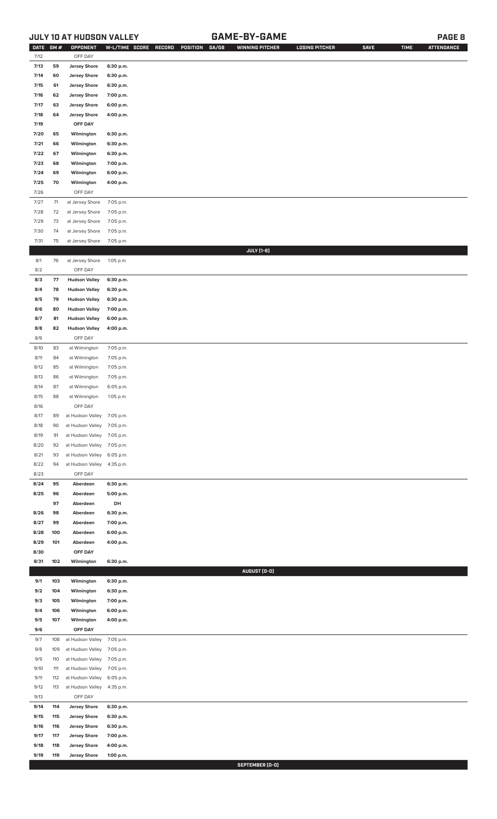## **JULY 10 AT HUDSON VALLEY GAME-BY-GAME PAGE 8**

| <b>DATE</b> | GM# | OPPONENT                   | W-L/TIME SCORE | RECORD | POSITION | GA/GB | <b>WINNING PITCHER</b> | <b>LOSING PITCHER</b> | <b>SAVE</b> | <b>TIME</b> | <b>ATTENDANCE</b> |
|-------------|-----|----------------------------|----------------|--------|----------|-------|------------------------|-----------------------|-------------|-------------|-------------------|
| 7/12        |     | OFF DAY                    |                |        |          |       |                        |                       |             |             |                   |
| 7/13        | 59  | <b>Jersey Shore</b>        | 6:30 p.m.      |        |          |       |                        |                       |             |             |                   |
| 7/14        | 60  | <b>Jersey Shore</b>        | 6:30 p.m.      |        |          |       |                        |                       |             |             |                   |
| 7/15        | 61  | <b>Jersey Shore</b>        | 6:30 p.m.      |        |          |       |                        |                       |             |             |                   |
| 7/16        | 62  | <b>Jersey Shore</b>        | 7:00 p.m.      |        |          |       |                        |                       |             |             |                   |
| 7/17        | 63  | <b>Jersey Shore</b>        | 6:00 p.m.      |        |          |       |                        |                       |             |             |                   |
| 7/18        | 64  | <b>Jersey Shore</b>        | 4:00 p.m.      |        |          |       |                        |                       |             |             |                   |
| 7/19        |     | OFF DAY                    |                |        |          |       |                        |                       |             |             |                   |
|             |     |                            |                |        |          |       |                        |                       |             |             |                   |
| 7/20        | 65  | Wilmington                 | 6:30 p.m.      |        |          |       |                        |                       |             |             |                   |
| 7/21        | 66  | Wilmington                 | 6:30 p.m.      |        |          |       |                        |                       |             |             |                   |
| 7/22        | 67  | Wilmington                 | 6:30 p.m.      |        |          |       |                        |                       |             |             |                   |
| 7/23        | 68  | Wilmington                 | 7:00 p.m.      |        |          |       |                        |                       |             |             |                   |
| 7/24        | 69  | Wilmington                 | 6:00 p.m.      |        |          |       |                        |                       |             |             |                   |
| 7/25        | 70  | Wilmington                 | 4:00 p.m.      |        |          |       |                        |                       |             |             |                   |
| 7/26        |     | OFF DAY                    |                |        |          |       |                        |                       |             |             |                   |
| 7/27        | 71  | at Jersey Shore            | 7:05 p.m.      |        |          |       |                        |                       |             |             |                   |
| 7/28        | 72  | at Jersey Shore            | 7:05 p.m.      |        |          |       |                        |                       |             |             |                   |
| 7/29        | 73  | at Jersey Shore            | 7:05 p.m.      |        |          |       |                        |                       |             |             |                   |
| 7/30        | 74  | at Jersey Shore            | 7:05 p.m.      |        |          |       |                        |                       |             |             |                   |
| 7/31        | 75  | at Jersey Shore            | 7:05 p.m.      |        |          |       |                        |                       |             |             |                   |
|             |     |                            |                |        |          |       | JULY [1-6]             |                       |             |             |                   |
| 8/1         | 76  | at Jersey Shore            | 1:05 p.m.      |        |          |       |                        |                       |             |             |                   |
| 8/2         |     | OFF DAY                    |                |        |          |       |                        |                       |             |             |                   |
|             | 77  | <b>Hudson Valley</b>       |                |        |          |       |                        |                       |             |             |                   |
| 8/3         |     |                            | 6:30 p.m.      |        |          |       |                        |                       |             |             |                   |
| 8/4         | 78  | <b>Hudson Valley</b>       | 6:30 p.m.      |        |          |       |                        |                       |             |             |                   |
| 8/5         | 79  | <b>Hudson Valley</b>       | 6:30 p.m.      |        |          |       |                        |                       |             |             |                   |
| 8/6         | 80  | <b>Hudson Valley</b>       | 7:00 p.m.      |        |          |       |                        |                       |             |             |                   |
| 8/7         | 81  | <b>Hudson Valley</b>       | 6:00 p.m.      |        |          |       |                        |                       |             |             |                   |
| 8/8         | 82  | <b>Hudson Valley</b>       | 4:00 p.m.      |        |          |       |                        |                       |             |             |                   |
| 8/9         |     | OFF DAY                    |                |        |          |       |                        |                       |             |             |                   |
| 8/10        | 83  | at Wilmington              | 7:05 p.m.      |        |          |       |                        |                       |             |             |                   |
| 8/11        | 84  | at Wilmington              | 7:05 p.m.      |        |          |       |                        |                       |             |             |                   |
| 8/12        | 85  | at Wilmington              | 7:05 p.m.      |        |          |       |                        |                       |             |             |                   |
| 8/13        | 86  | at Wilmington              | 7:05 p.m.      |        |          |       |                        |                       |             |             |                   |
| 8/14        | 87  | at Wilmington              | 6:05 p.m.      |        |          |       |                        |                       |             |             |                   |
| 8/15        | 88  | at Wilmington              | 1:05 p.m.      |        |          |       |                        |                       |             |             |                   |
| 8/16        |     | OFF DAY                    |                |        |          |       |                        |                       |             |             |                   |
| 8/17        | 89  | at Hudson Valley 7:05 p.m. |                |        |          |       |                        |                       |             |             |                   |
| 8/18        | 90  | at Hudson Valley 7:05 p.m. |                |        |          |       |                        |                       |             |             |                   |
| 8/19        | 91  | at Hudson Valley 7:05 p.m. |                |        |          |       |                        |                       |             |             |                   |
| 8/20        | 92  | at Hudson Valley           | 7:05 p.m.      |        |          |       |                        |                       |             |             |                   |
| 8/21        | 93  | at Hudson Valley           | 6:05 p.m.      |        |          |       |                        |                       |             |             |                   |
| 8/22        | 94  | at Hudson Valley           | 4:35 p.m.      |        |          |       |                        |                       |             |             |                   |
| 8/23        |     | OFF DAY                    |                |        |          |       |                        |                       |             |             |                   |
| 8/24        | 95  | Aberdeen                   | 6:30 p.m.      |        |          |       |                        |                       |             |             |                   |
| 8/25        | 96  | Aberdeen                   | 5:00 p.m.      |        |          |       |                        |                       |             |             |                   |
|             | 97  | Aberdeen                   | DH             |        |          |       |                        |                       |             |             |                   |
| 8/26        | 98  | Aberdeen                   | 6:30 p.m.      |        |          |       |                        |                       |             |             |                   |
| 8/27        | 99  | Aberdeen                   | 7:00 p.m.      |        |          |       |                        |                       |             |             |                   |
| 8/28        | 100 | Aberdeen                   | 6:00 p.m.      |        |          |       |                        |                       |             |             |                   |
| 8/29        | 101 | Aberdeen                   | 4:00 p.m.      |        |          |       |                        |                       |             |             |                   |
| 8/30        |     | OFF DAY                    |                |        |          |       |                        |                       |             |             |                   |
| 8/31        | 102 | Wilmington                 | 6:30 p.m.      |        |          |       |                        |                       |             |             |                   |
|             |     |                            |                |        |          |       | AUGUST (0-0)           |                       |             |             |                   |
| 9/1         | 103 | Wilmington                 | 6:30 p.m.      |        |          |       |                        |                       |             |             |                   |
| 9/2         | 104 | Wilmington                 | 6:30 p.m.      |        |          |       |                        |                       |             |             |                   |
| 9/3         | 105 | Wilmington                 | 7:00 p.m.      |        |          |       |                        |                       |             |             |                   |
| 9/4         | 106 | Wilmington                 | 6:00 p.m.      |        |          |       |                        |                       |             |             |                   |
| 9/5         | 107 | Wilmington                 | 4:00 p.m.      |        |          |       |                        |                       |             |             |                   |
| 9/6         |     | OFF DAY                    |                |        |          |       |                        |                       |             |             |                   |
| 9/7         | 108 | at Hudson Valley           | 7:05 p.m.      |        |          |       |                        |                       |             |             |                   |
| 9/8         | 109 | at Hudson Valley           | 7:05 p.m.      |        |          |       |                        |                       |             |             |                   |
| 9/9         | 110 | at Hudson Valley           | 7:05 p.m.      |        |          |       |                        |                       |             |             |                   |
| 9/10        | 111 | at Hudson Valley           | 7:05 p.m.      |        |          |       |                        |                       |             |             |                   |
| 9/11        | 112 | at Hudson Valley           | 6:05 p.m.      |        |          |       |                        |                       |             |             |                   |
| 9/12        | 113 | at Hudson Valley           | 4:35 p.m.      |        |          |       |                        |                       |             |             |                   |
| 9/13        |     | OFF DAY                    |                |        |          |       |                        |                       |             |             |                   |
| 9/14        | 114 | <b>Jersey Shore</b>        | 6:30 p.m.      |        |          |       |                        |                       |             |             |                   |
| 9/15        | 115 | <b>Jersey Shore</b>        | 6:30 p.m.      |        |          |       |                        |                       |             |             |                   |
| 9/16        | 116 | <b>Jersey Shore</b>        | 6:30 p.m.      |        |          |       |                        |                       |             |             |                   |
| 9/17        | 117 | <b>Jersey Shore</b>        | 7:00 p.m.      |        |          |       |                        |                       |             |             |                   |
| 9/18        | 118 | <b>Jersey Shore</b>        | 4:00 p.m.      |        |          |       |                        |                       |             |             |                   |
| 9/19        | 119 | <b>Jersey Shore</b>        | 1:00 p.m.      |        |          |       |                        |                       |             |             |                   |
|             |     |                            |                |        |          |       |                        |                       |             |             |                   |

**SEPTEMBER (0-0)**